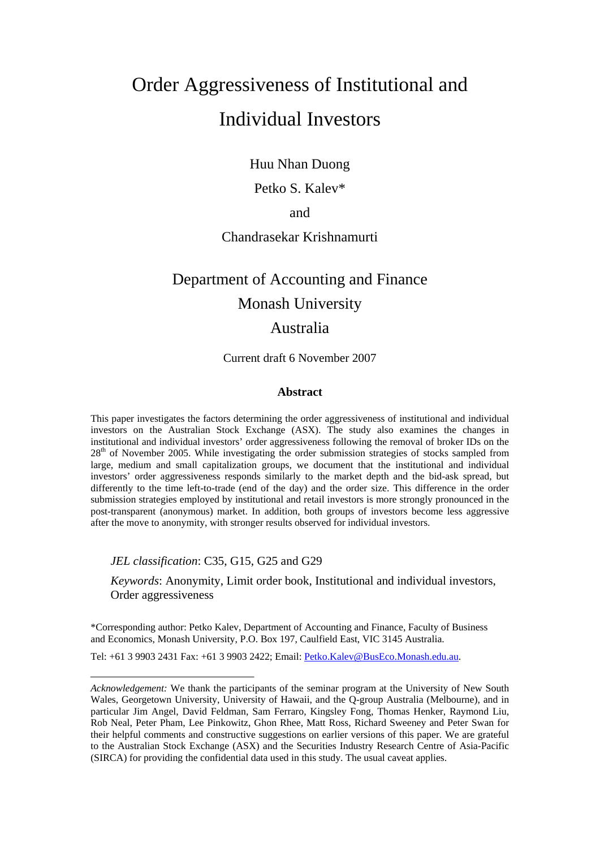## Order Aggressiveness of Institutional and Individual Investors

Huu Nhan Duong

Petko S. Kalev\*

and

## Chandrasekar Krishnamurti

# Department of Accounting and Finance Monash University

## Australia

Current draft 6 November 2007

## **Abstract**

This paper investigates the factors determining the order aggressiveness of institutional and individual investors on the Australian Stock Exchange (ASX). The study also examines the changes in institutional and individual investors' order aggressiveness following the removal of broker IDs on the 28<sup>th</sup> of November 2005. While investigating the order submission strategies of stocks sampled from large, medium and small capitalization groups, we document that the institutional and individual investors' order aggressiveness responds similarly to the market depth and the bid-ask spread, but differently to the time left-to-trade (end of the day) and the order size. This difference in the order submission strategies employed by institutional and retail investors is more strongly pronounced in the post-transparent (anonymous) market. In addition, both groups of investors become less aggressive after the move to anonymity, with stronger results observed for individual investors.

*JEL classification*: C35, G15, G25 and G29

*Keywords*: Anonymity, Limit order book, Institutional and individual investors, Order aggressiveness

\*Corresponding author: Petko Kalev, Department of Accounting and Finance, Faculty of Business and Economics, Monash University, P.O. Box 197, Caulfield East, VIC 3145 Australia.

Tel: +61 3 9903 2431 Fax: +61 3 9903 2422; Email: Petko.Kalev@BusEco.Monash.edu.au.

*Acknowledgement:* We thank the participants of the seminar program at the University of New South Wales, Georgetown University, University of Hawaii, and the Q-group Australia (Melbourne), and in particular Jim Angel, David Feldman, Sam Ferraro, Kingsley Fong, Thomas Henker, Raymond Liu, Rob Neal, Peter Pham, Lee Pinkowitz, Ghon Rhee, Matt Ross, Richard Sweeney and Peter Swan for their helpful comments and constructive suggestions on earlier versions of this paper. We are grateful to the Australian Stock Exchange (ASX) and the Securities Industry Research Centre of Asia-Pacific (SIRCA) for providing the confidential data used in this study. The usual caveat applies.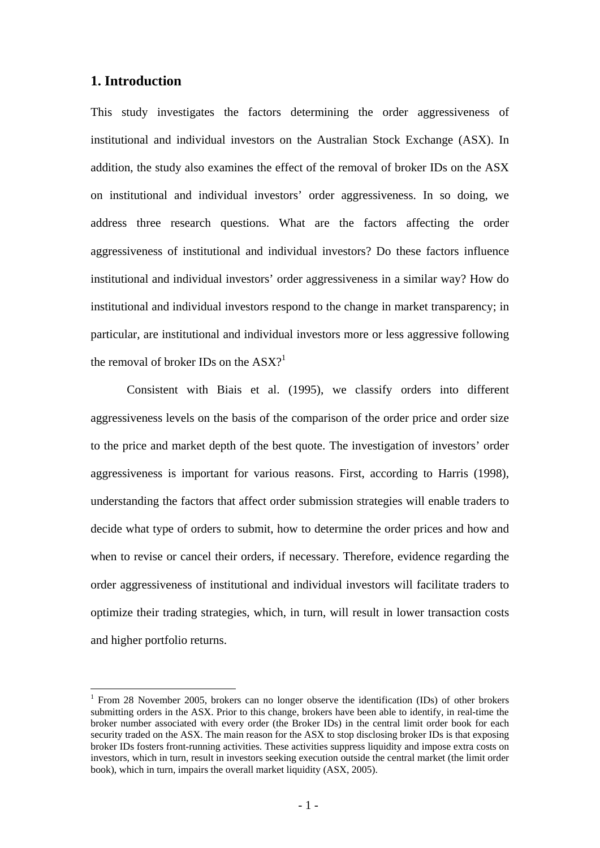## **1. Introduction**

1

This study investigates the factors determining the order aggressiveness of institutional and individual investors on the Australian Stock Exchange (ASX). In addition, the study also examines the effect of the removal of broker IDs on the ASX on institutional and individual investors' order aggressiveness. In so doing, we address three research questions. What are the factors affecting the order aggressiveness of institutional and individual investors? Do these factors influence institutional and individual investors' order aggressiveness in a similar way? How do institutional and individual investors respond to the change in market transparency; in particular, are institutional and individual investors more or less aggressive following the removal of broker IDs on the  $\text{ASX}$ ?<sup>1</sup>

Consistent with Biais et al. (1995), we classify orders into different aggressiveness levels on the basis of the comparison of the order price and order size to the price and market depth of the best quote. The investigation of investors' order aggressiveness is important for various reasons. First, according to Harris (1998), understanding the factors that affect order submission strategies will enable traders to decide what type of orders to submit, how to determine the order prices and how and when to revise or cancel their orders, if necessary. Therefore, evidence regarding the order aggressiveness of institutional and individual investors will facilitate traders to optimize their trading strategies, which, in turn, will result in lower transaction costs and higher portfolio returns.

<sup>&</sup>lt;sup>1</sup> From 28 November 2005, brokers can no longer observe the identification (IDs) of other brokers submitting orders in the ASX. Prior to this change, brokers have been able to identify, in real-time the broker number associated with every order (the Broker IDs) in the central limit order book for each security traded on the ASX. The main reason for the ASX to stop disclosing broker IDs is that exposing broker IDs fosters front-running activities. These activities suppress liquidity and impose extra costs on investors, which in turn, result in investors seeking execution outside the central market (the limit order book), which in turn, impairs the overall market liquidity (ASX, 2005).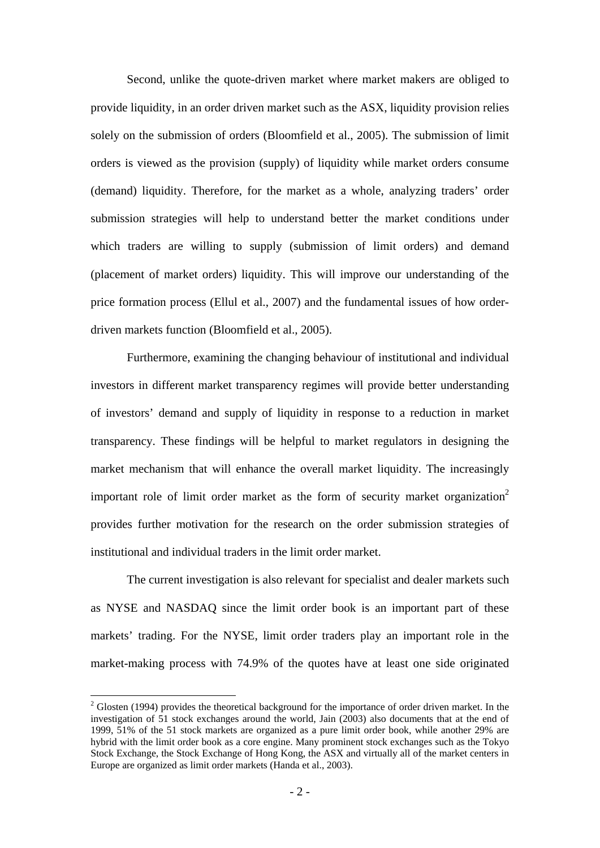Second, unlike the quote-driven market where market makers are obliged to provide liquidity, in an order driven market such as the ASX, liquidity provision relies solely on the submission of orders (Bloomfield et al., 2005). The submission of limit orders is viewed as the provision (supply) of liquidity while market orders consume (demand) liquidity. Therefore, for the market as a whole, analyzing traders' order submission strategies will help to understand better the market conditions under which traders are willing to supply (submission of limit orders) and demand (placement of market orders) liquidity. This will improve our understanding of the price formation process (Ellul et al., 2007) and the fundamental issues of how orderdriven markets function (Bloomfield et al., 2005).

Furthermore, examining the changing behaviour of institutional and individual investors in different market transparency regimes will provide better understanding of investors' demand and supply of liquidity in response to a reduction in market transparency. These findings will be helpful to market regulators in designing the market mechanism that will enhance the overall market liquidity. The increasingly important role of limit order market as the form of security market organization<sup>2</sup> provides further motivation for the research on the order submission strategies of institutional and individual traders in the limit order market.

The current investigation is also relevant for specialist and dealer markets such as NYSE and NASDAQ since the limit order book is an important part of these markets' trading. For the NYSE, limit order traders play an important role in the market-making process with 74.9% of the quotes have at least one side originated

<u>.</u>

 $2^2$  Glosten (1994) provides the theoretical background for the importance of order driven market. In the investigation of 51 stock exchanges around the world, Jain (2003) also documents that at the end of 1999, 51% of the 51 stock markets are organized as a pure limit order book, while another 29% are hybrid with the limit order book as a core engine. Many prominent stock exchanges such as the Tokyo Stock Exchange, the Stock Exchange of Hong Kong, the ASX and virtually all of the market centers in Europe are organized as limit order markets (Handa et al., 2003).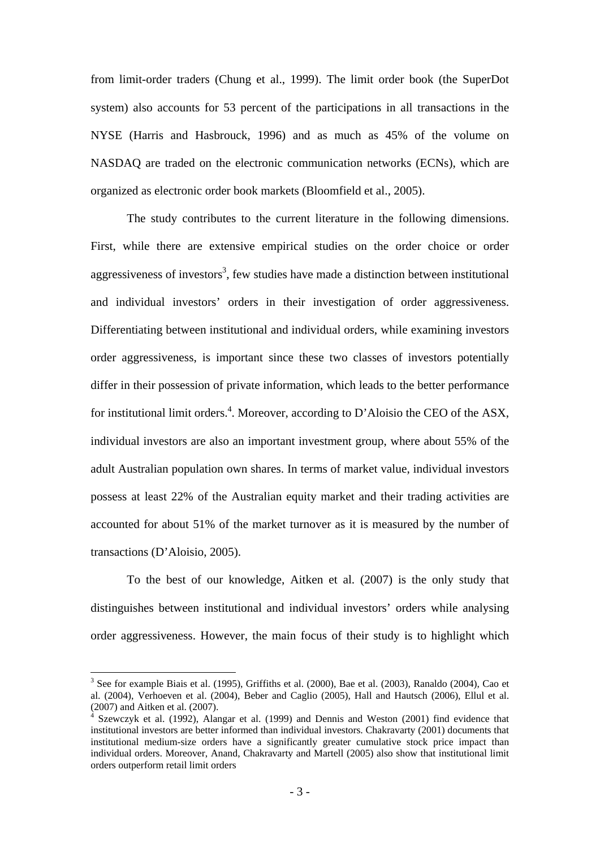from limit-order traders (Chung et al., 1999). The limit order book (the SuperDot system) also accounts for 53 percent of the participations in all transactions in the NYSE (Harris and Hasbrouck, 1996) and as much as 45% of the volume on NASDAQ are traded on the electronic communication networks (ECNs), which are organized as electronic order book markets (Bloomfield et al., 2005).

The study contributes to the current literature in the following dimensions. First, while there are extensive empirical studies on the order choice or order aggressiveness of investors<sup>3</sup>, few studies have made a distinction between institutional and individual investors' orders in their investigation of order aggressiveness. Differentiating between institutional and individual orders, while examining investors order aggressiveness, is important since these two classes of investors potentially differ in their possession of private information, which leads to the better performance for institutional limit orders.<sup>4</sup>. Moreover, according to D'Aloisio the CEO of the ASX, individual investors are also an important investment group, where about 55% of the adult Australian population own shares. In terms of market value, individual investors possess at least 22% of the Australian equity market and their trading activities are accounted for about 51% of the market turnover as it is measured by the number of transactions (D'Aloisio, 2005).

To the best of our knowledge, Aitken et al. (2007) is the only study that distinguishes between institutional and individual investors' orders while analysing order aggressiveness. However, the main focus of their study is to highlight which

 $3$  See for example Biais et al. (1995), Griffiths et al. (2000), Bae et al. (2003), Ranaldo (2004), Cao et al. (2004), Verhoeven et al. (2004), Beber and Caglio (2005), Hall and Hautsch (2006), Ellul et al.  $(2007)$  and Aitken et al.  $(2007)$ .

Szewczyk et al. (1992), Alangar et al. (1999) and Dennis and Weston (2001) find evidence that institutional investors are better informed than individual investors. Chakravarty (2001) documents that institutional medium-size orders have a significantly greater cumulative stock price impact than individual orders. Moreover, Anand, Chakravarty and Martell (2005) also show that institutional limit orders outperform retail limit orders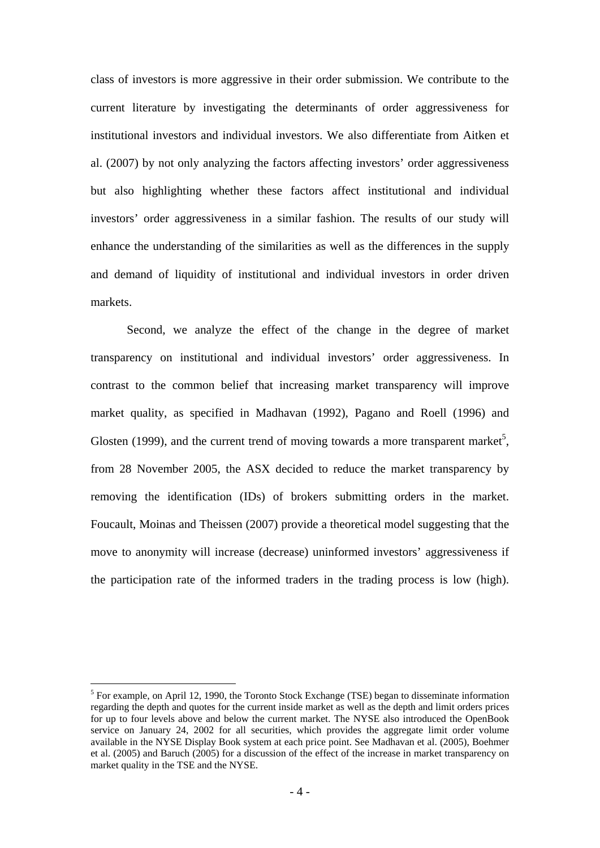class of investors is more aggressive in their order submission. We contribute to the current literature by investigating the determinants of order aggressiveness for institutional investors and individual investors. We also differentiate from Aitken et al. (2007) by not only analyzing the factors affecting investors' order aggressiveness but also highlighting whether these factors affect institutional and individual investors' order aggressiveness in a similar fashion. The results of our study will enhance the understanding of the similarities as well as the differences in the supply and demand of liquidity of institutional and individual investors in order driven markets.

Second, we analyze the effect of the change in the degree of market transparency on institutional and individual investors' order aggressiveness. In contrast to the common belief that increasing market transparency will improve market quality, as specified in Madhavan (1992), Pagano and Roell (1996) and Glosten (1999), and the current trend of moving towards a more transparent market<sup>5</sup>, from 28 November 2005, the ASX decided to reduce the market transparency by removing the identification (IDs) of brokers submitting orders in the market. Foucault, Moinas and Theissen (2007) provide a theoretical model suggesting that the move to anonymity will increase (decrease) uninformed investors' aggressiveness if the participation rate of the informed traders in the trading process is low (high).

 $<sup>5</sup>$  For example, on April 12, 1990, the Toronto Stock Exchange (TSE) began to disseminate information</sup> regarding the depth and quotes for the current inside market as well as the depth and limit orders prices for up to four levels above and below the current market. The NYSE also introduced the OpenBook service on January 24, 2002 for all securities, which provides the aggregate limit order volume available in the NYSE Display Book system at each price point. See Madhavan et al. (2005), Boehmer et al. (2005) and Baruch (2005) for a discussion of the effect of the increase in market transparency on market quality in the TSE and the NYSE.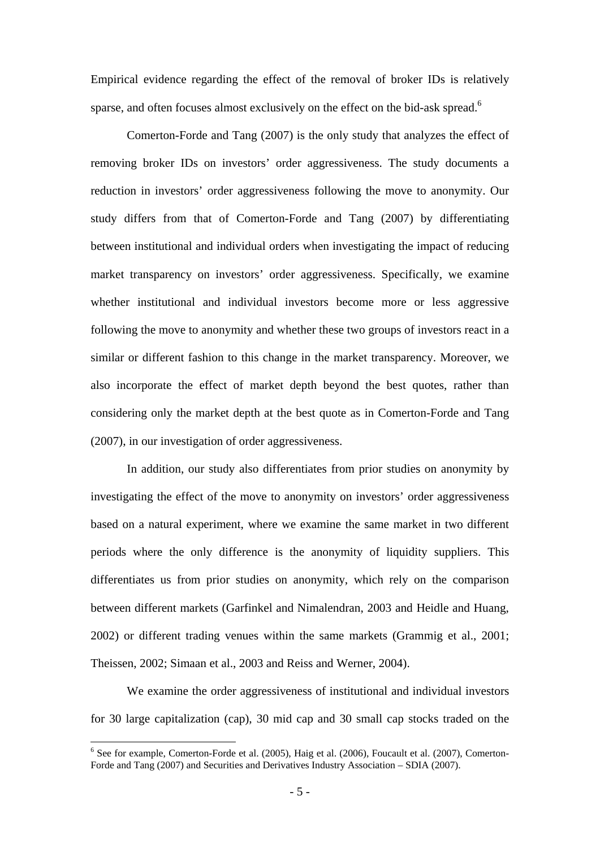Empirical evidence regarding the effect of the removal of broker IDs is relatively sparse, and often focuses almost exclusively on the effect on the bid-ask spread.<sup>6</sup>

Comerton-Forde and Tang (2007) is the only study that analyzes the effect of removing broker IDs on investors' order aggressiveness. The study documents a reduction in investors' order aggressiveness following the move to anonymity. Our study differs from that of Comerton-Forde and Tang (2007) by differentiating between institutional and individual orders when investigating the impact of reducing market transparency on investors' order aggressiveness. Specifically, we examine whether institutional and individual investors become more or less aggressive following the move to anonymity and whether these two groups of investors react in a similar or different fashion to this change in the market transparency. Moreover, we also incorporate the effect of market depth beyond the best quotes, rather than considering only the market depth at the best quote as in Comerton-Forde and Tang (2007), in our investigation of order aggressiveness.

In addition, our study also differentiates from prior studies on anonymity by investigating the effect of the move to anonymity on investors' order aggressiveness based on a natural experiment, where we examine the same market in two different periods where the only difference is the anonymity of liquidity suppliers. This differentiates us from prior studies on anonymity, which rely on the comparison between different markets (Garfinkel and Nimalendran, 2003 and Heidle and Huang, 2002) or different trading venues within the same markets (Grammig et al., 2001; Theissen, 2002; Simaan et al., 2003 and Reiss and Werner, 2004).

We examine the order aggressiveness of institutional and individual investors for 30 large capitalization (cap), 30 mid cap and 30 small cap stocks traded on the

<sup>&</sup>lt;sup>6</sup> See for example, Comerton-Forde et al. (2005), Haig et al. (2006), Foucault et al. (2007), Comerton-Forde and Tang (2007) and Securities and Derivatives Industry Association – SDIA (2007).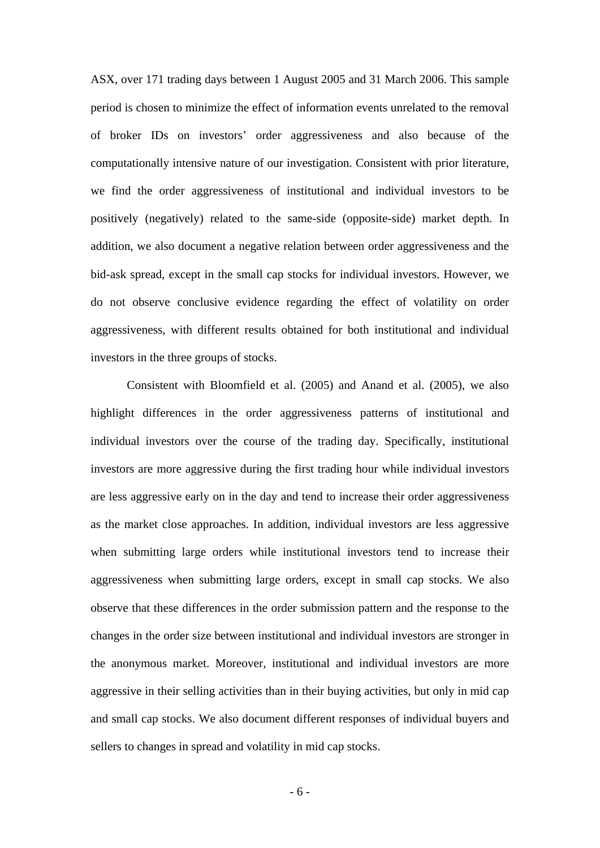ASX, over 171 trading days between 1 August 2005 and 31 March 2006. This sample period is chosen to minimize the effect of information events unrelated to the removal of broker IDs on investors' order aggressiveness and also because of the computationally intensive nature of our investigation. Consistent with prior literature, we find the order aggressiveness of institutional and individual investors to be positively (negatively) related to the same-side (opposite-side) market depth. In addition, we also document a negative relation between order aggressiveness and the bid-ask spread, except in the small cap stocks for individual investors. However, we do not observe conclusive evidence regarding the effect of volatility on order aggressiveness, with different results obtained for both institutional and individual investors in the three groups of stocks.

Consistent with Bloomfield et al. (2005) and Anand et al. (2005), we also highlight differences in the order aggressiveness patterns of institutional and individual investors over the course of the trading day. Specifically, institutional investors are more aggressive during the first trading hour while individual investors are less aggressive early on in the day and tend to increase their order aggressiveness as the market close approaches. In addition, individual investors are less aggressive when submitting large orders while institutional investors tend to increase their aggressiveness when submitting large orders, except in small cap stocks. We also observe that these differences in the order submission pattern and the response to the changes in the order size between institutional and individual investors are stronger in the anonymous market. Moreover, institutional and individual investors are more aggressive in their selling activities than in their buying activities, but only in mid cap and small cap stocks. We also document different responses of individual buyers and sellers to changes in spread and volatility in mid cap stocks.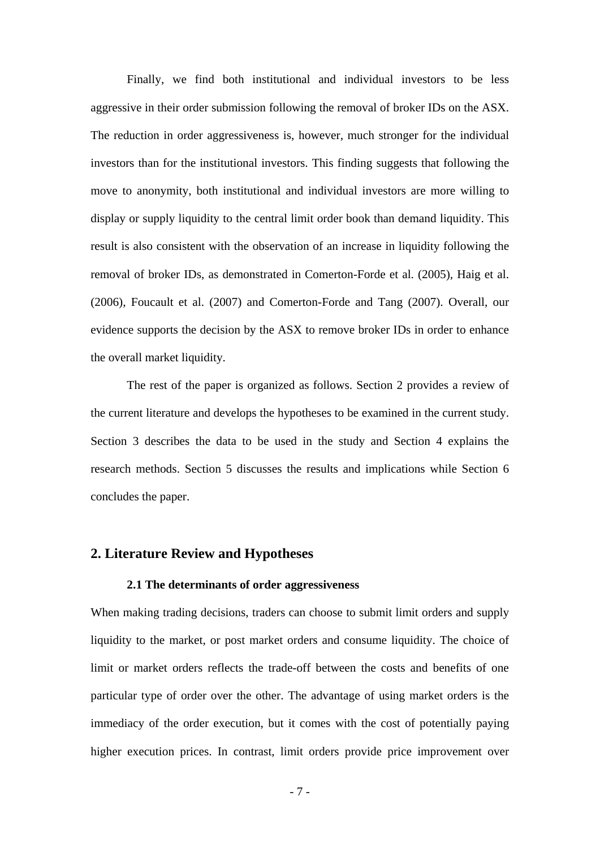Finally, we find both institutional and individual investors to be less aggressive in their order submission following the removal of broker IDs on the ASX. The reduction in order aggressiveness is, however, much stronger for the individual investors than for the institutional investors. This finding suggests that following the move to anonymity, both institutional and individual investors are more willing to display or supply liquidity to the central limit order book than demand liquidity. This result is also consistent with the observation of an increase in liquidity following the removal of broker IDs, as demonstrated in Comerton-Forde et al. (2005), Haig et al. (2006), Foucault et al. (2007) and Comerton-Forde and Tang (2007). Overall, our evidence supports the decision by the ASX to remove broker IDs in order to enhance the overall market liquidity.

The rest of the paper is organized as follows. Section 2 provides a review of the current literature and develops the hypotheses to be examined in the current study. Section 3 describes the data to be used in the study and Section 4 explains the research methods. Section 5 discusses the results and implications while Section 6 concludes the paper.

## **2. Literature Review and Hypotheses**

## **2.1 The determinants of order aggressiveness**

When making trading decisions, traders can choose to submit limit orders and supply liquidity to the market, or post market orders and consume liquidity. The choice of limit or market orders reflects the trade-off between the costs and benefits of one particular type of order over the other. The advantage of using market orders is the immediacy of the order execution, but it comes with the cost of potentially paying higher execution prices. In contrast, limit orders provide price improvement over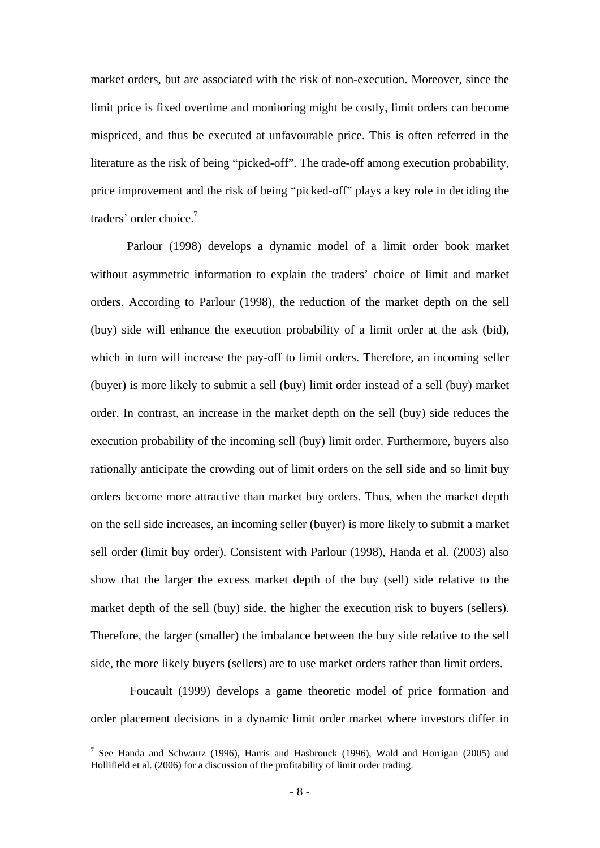market orders, but are associated with the risk of non-execution. Moreover, since the limit price is fixed overtime and monitoring might be costly, limit orders can become mispriced, and thus be executed at unfavourable price. This is often referred in the literature as the risk of being "picked-off". The trade-off among execution probability, price improvement and the risk of being "picked-off" plays a key role in deciding the traders' order choice.<sup>7</sup>

Parlour (1998) develops a dynamic model of a limit order book market without asymmetric information to explain the traders' choice of limit and market orders. According to Parlour (1998), the reduction of the market depth on the sell (buy) side will enhance the execution probability of a limit order at the ask (bid), which in turn will increase the pay-off to limit orders. Therefore, an incoming seller (buyer) is more likely to submit a sell (buy) limit order instead of a sell (buy) market order. In contrast, an increase in the market depth on the sell (buy) side reduces the execution probability of the incoming sell (buy) limit order. Furthermore, buyers also rationally anticipate the crowding out of limit orders on the sell side and so limit buy orders become more attractive than market buy orders. Thus, when the market depth on the sell side increases, an incoming seller (buyer) is more likely to submit a market sell order (limit buy order). Consistent with Parlour (1998), Handa et al. (2003) also show that the larger the excess market depth of the buy (sell) side relative to the market depth of the sell (buy) side, the higher the execution risk to buyers (sellers). Therefore, the larger (smaller) the imbalance between the buy side relative to the sell side, the more likely buyers (sellers) are to use market orders rather than limit orders.

 Foucault (1999) develops a game theoretic model of price formation and order placement decisions in a dynamic limit order market where investors differ in

<sup>&</sup>lt;sup>7</sup> See Handa and Schwartz (1996), Harris and Hasbrouck (1996), Wald and Horrigan (2005) and Hollifield et al. (2006) for a discussion of the profitability of limit order trading.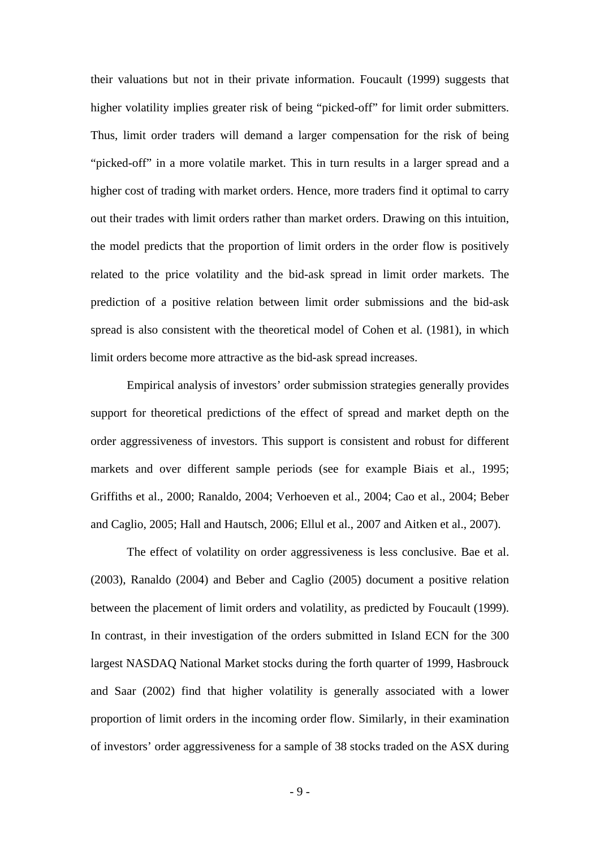their valuations but not in their private information. Foucault (1999) suggests that higher volatility implies greater risk of being "picked-off" for limit order submitters. Thus, limit order traders will demand a larger compensation for the risk of being "picked-off" in a more volatile market. This in turn results in a larger spread and a higher cost of trading with market orders. Hence, more traders find it optimal to carry out their trades with limit orders rather than market orders. Drawing on this intuition, the model predicts that the proportion of limit orders in the order flow is positively related to the price volatility and the bid-ask spread in limit order markets. The prediction of a positive relation between limit order submissions and the bid-ask spread is also consistent with the theoretical model of Cohen et al. (1981), in which limit orders become more attractive as the bid-ask spread increases.

Empirical analysis of investors' order submission strategies generally provides support for theoretical predictions of the effect of spread and market depth on the order aggressiveness of investors. This support is consistent and robust for different markets and over different sample periods (see for example Biais et al., 1995; Griffiths et al., 2000; Ranaldo, 2004; Verhoeven et al., 2004; Cao et al., 2004; Beber and Caglio, 2005; Hall and Hautsch, 2006; Ellul et al., 2007 and Aitken et al., 2007).

The effect of volatility on order aggressiveness is less conclusive. Bae et al. (2003), Ranaldo (2004) and Beber and Caglio (2005) document a positive relation between the placement of limit orders and volatility, as predicted by Foucault (1999). In contrast, in their investigation of the orders submitted in Island ECN for the 300 largest NASDAQ National Market stocks during the forth quarter of 1999, Hasbrouck and Saar (2002) find that higher volatility is generally associated with a lower proportion of limit orders in the incoming order flow. Similarly, in their examination of investors' order aggressiveness for a sample of 38 stocks traded on the ASX during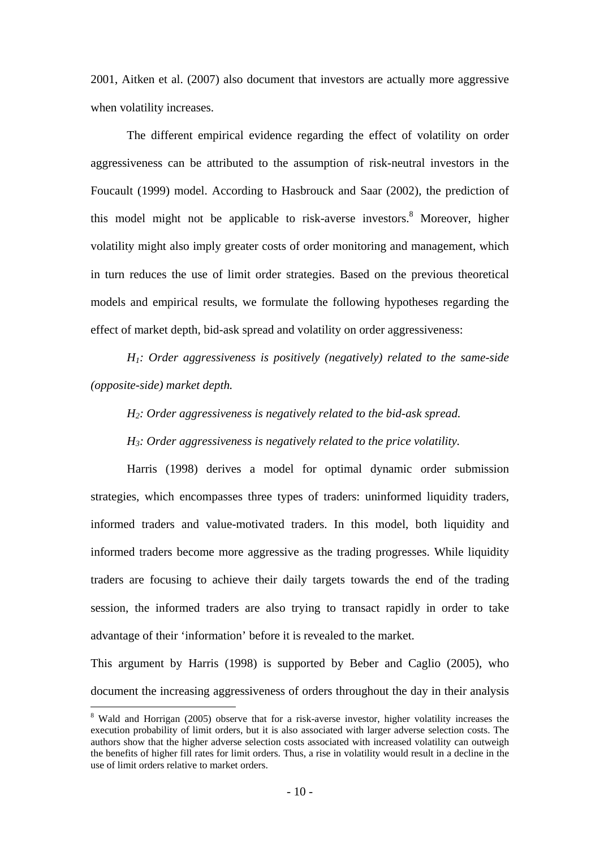2001, Aitken et al. (2007) also document that investors are actually more aggressive when volatility increases.

The different empirical evidence regarding the effect of volatility on order aggressiveness can be attributed to the assumption of risk-neutral investors in the Foucault (1999) model. According to Hasbrouck and Saar (2002), the prediction of this model might not be applicable to risk-averse investors.<sup>8</sup> Moreover, higher volatility might also imply greater costs of order monitoring and management, which in turn reduces the use of limit order strategies. Based on the previous theoretical models and empirical results, we formulate the following hypotheses regarding the effect of market depth, bid-ask spread and volatility on order aggressiveness:

 *H1: Order aggressiveness is positively (negatively) related to the same-side (opposite-side) market depth.* 

*H2: Order aggressiveness is negatively related to the bid-ask spread.* 

*H3: Order aggressiveness is negatively related to the price volatility.* 

 Harris (1998) derives a model for optimal dynamic order submission strategies, which encompasses three types of traders: uninformed liquidity traders, informed traders and value-motivated traders. In this model, both liquidity and informed traders become more aggressive as the trading progresses. While liquidity traders are focusing to achieve their daily targets towards the end of the trading session, the informed traders are also trying to transact rapidly in order to take advantage of their 'information' before it is revealed to the market.

This argument by Harris (1998) is supported by Beber and Caglio (2005), who document the increasing aggressiveness of orders throughout the day in their analysis

<sup>&</sup>lt;sup>8</sup> Wald and Horrigan (2005) observe that for a risk-averse investor, higher volatility increases the execution probability of limit orders, but it is also associated with larger adverse selection costs. The authors show that the higher adverse selection costs associated with increased volatility can outweigh the benefits of higher fill rates for limit orders. Thus, a rise in volatility would result in a decline in the use of limit orders relative to market orders.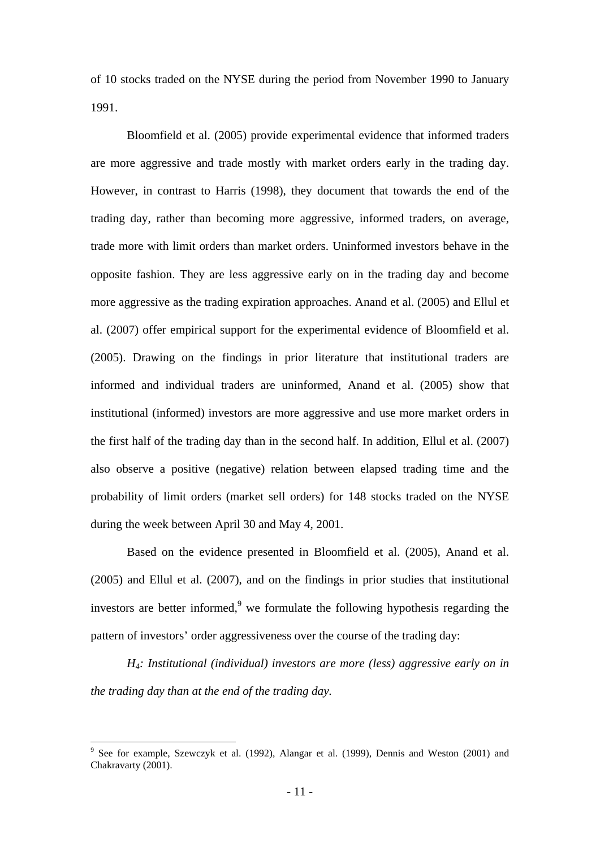of 10 stocks traded on the NYSE during the period from November 1990 to January 1991.

Bloomfield et al. (2005) provide experimental evidence that informed traders are more aggressive and trade mostly with market orders early in the trading day. However, in contrast to Harris (1998), they document that towards the end of the trading day, rather than becoming more aggressive, informed traders, on average, trade more with limit orders than market orders. Uninformed investors behave in the opposite fashion. They are less aggressive early on in the trading day and become more aggressive as the trading expiration approaches. Anand et al. (2005) and Ellul et al. (2007) offer empirical support for the experimental evidence of Bloomfield et al. (2005). Drawing on the findings in prior literature that institutional traders are informed and individual traders are uninformed, Anand et al. (2005) show that institutional (informed) investors are more aggressive and use more market orders in the first half of the trading day than in the second half. In addition, Ellul et al. (2007) also observe a positive (negative) relation between elapsed trading time and the probability of limit orders (market sell orders) for 148 stocks traded on the NYSE during the week between April 30 and May 4, 2001.

Based on the evidence presented in Bloomfield et al. (2005), Anand et al. (2005) and Ellul et al. (2007), and on the findings in prior studies that institutional investors are better informed, $9$  we formulate the following hypothesis regarding the pattern of investors' order aggressiveness over the course of the trading day:

*H4: Institutional (individual) investors are more (less) aggressive early on in the trading day than at the end of the trading day.* 

<sup>&</sup>lt;sup>9</sup> See for example, Szewczyk et al. (1992), Alangar et al. (1999), Dennis and Weston (2001) and Chakravarty (2001).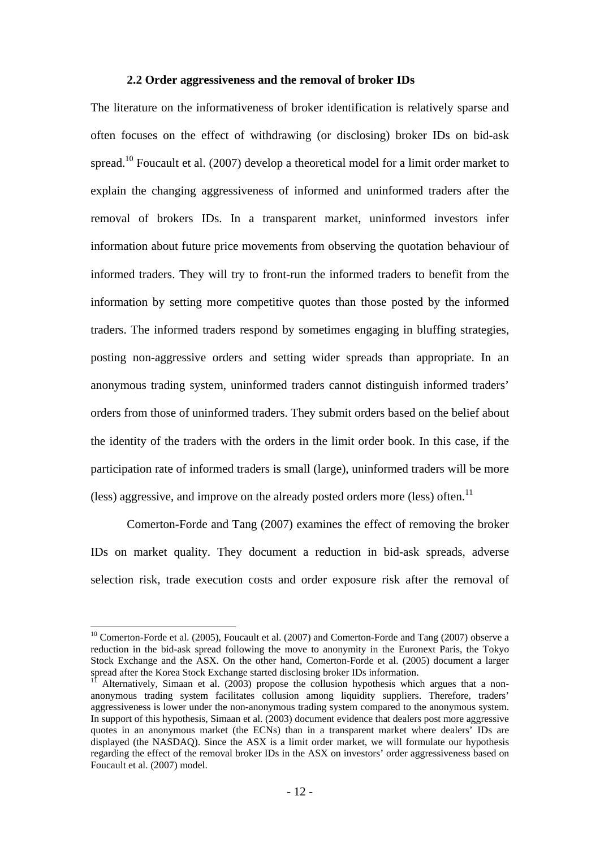## **2.2 Order aggressiveness and the removal of broker IDs**

The literature on the informativeness of broker identification is relatively sparse and often focuses on the effect of withdrawing (or disclosing) broker IDs on bid-ask spread.<sup>10</sup> Foucault et al. (2007) develop a theoretical model for a limit order market to explain the changing aggressiveness of informed and uninformed traders after the removal of brokers IDs. In a transparent market, uninformed investors infer information about future price movements from observing the quotation behaviour of informed traders. They will try to front-run the informed traders to benefit from the information by setting more competitive quotes than those posted by the informed traders. The informed traders respond by sometimes engaging in bluffing strategies, posting non-aggressive orders and setting wider spreads than appropriate. In an anonymous trading system, uninformed traders cannot distinguish informed traders' orders from those of uninformed traders. They submit orders based on the belief about the identity of the traders with the orders in the limit order book. In this case, if the participation rate of informed traders is small (large), uninformed traders will be more (less) aggressive, and improve on the already posted orders more (less) often.<sup>11</sup>

Comerton-Forde and Tang (2007) examines the effect of removing the broker IDs on market quality. They document a reduction in bid-ask spreads, adverse selection risk, trade execution costs and order exposure risk after the removal of

<u>.</u>

 $10$  Comerton-Forde et al. (2005), Foucault et al. (2007) and Comerton-Forde and Tang (2007) observe a reduction in the bid-ask spread following the move to anonymity in the Euronext Paris, the Tokyo Stock Exchange and the ASX. On the other hand, Comerton-Forde et al. (2005) document a larger spread after the Korea Stock Exchange started disclosing broker IDs information.

<sup>11</sup> Alternatively, Simaan et al. (2003) propose the collusion hypothesis which argues that a nonanonymous trading system facilitates collusion among liquidity suppliers. Therefore, traders' aggressiveness is lower under the non-anonymous trading system compared to the anonymous system. In support of this hypothesis, Simaan et al. (2003) document evidence that dealers post more aggressive quotes in an anonymous market (the ECNs) than in a transparent market where dealers' IDs are displayed (the NASDAQ). Since the ASX is a limit order market, we will formulate our hypothesis regarding the effect of the removal broker IDs in the ASX on investors' order aggressiveness based on Foucault et al. (2007) model.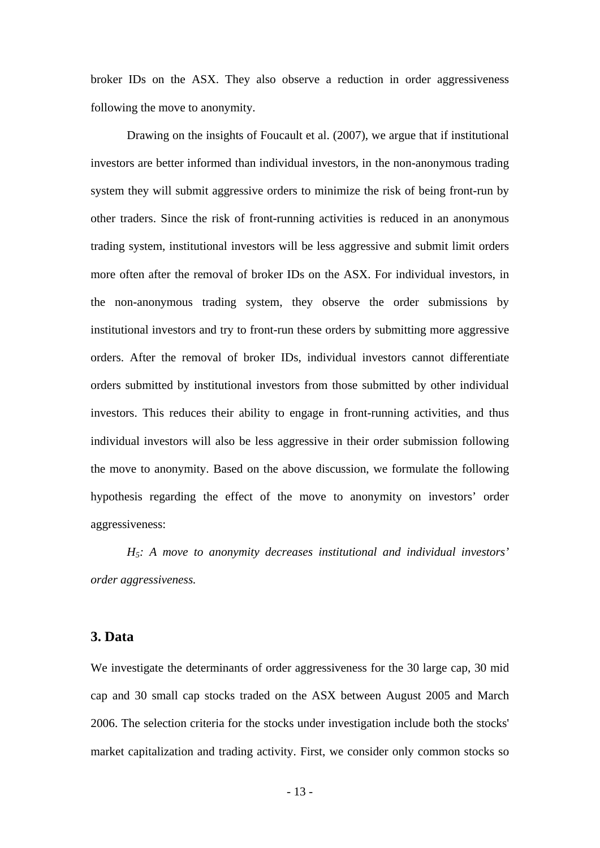broker IDs on the ASX. They also observe a reduction in order aggressiveness following the move to anonymity.

Drawing on the insights of Foucault et al. (2007), we argue that if institutional investors are better informed than individual investors, in the non-anonymous trading system they will submit aggressive orders to minimize the risk of being front-run by other traders. Since the risk of front-running activities is reduced in an anonymous trading system, institutional investors will be less aggressive and submit limit orders more often after the removal of broker IDs on the ASX. For individual investors, in the non-anonymous trading system, they observe the order submissions by institutional investors and try to front-run these orders by submitting more aggressive orders. After the removal of broker IDs, individual investors cannot differentiate orders submitted by institutional investors from those submitted by other individual investors. This reduces their ability to engage in front-running activities, and thus individual investors will also be less aggressive in their order submission following the move to anonymity. Based on the above discussion, we formulate the following hypothesis regarding the effect of the move to anonymity on investors' order aggressiveness:

*H5: A move to anonymity decreases institutional and individual investors' order aggressiveness.* 

## **3. Data**

We investigate the determinants of order aggressiveness for the 30 large cap, 30 mid cap and 30 small cap stocks traded on the ASX between August 2005 and March 2006. The selection criteria for the stocks under investigation include both the stocks' market capitalization and trading activity. First, we consider only common stocks so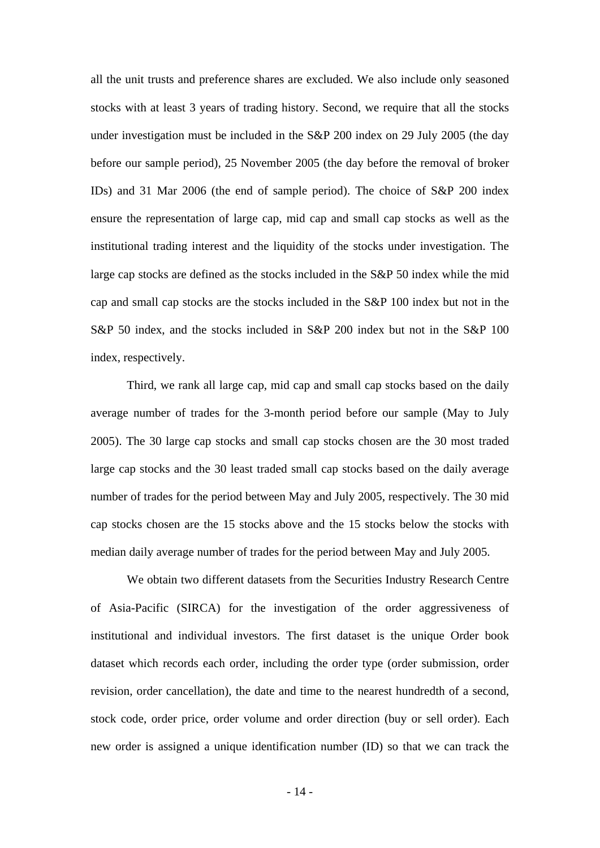all the unit trusts and preference shares are excluded. We also include only seasoned stocks with at least 3 years of trading history. Second, we require that all the stocks under investigation must be included in the S&P 200 index on 29 July 2005 (the day before our sample period), 25 November 2005 (the day before the removal of broker IDs) and 31 Mar 2006 (the end of sample period). The choice of S&P 200 index ensure the representation of large cap, mid cap and small cap stocks as well as the institutional trading interest and the liquidity of the stocks under investigation. The large cap stocks are defined as the stocks included in the S&P 50 index while the mid cap and small cap stocks are the stocks included in the S&P 100 index but not in the S&P 50 index, and the stocks included in S&P 200 index but not in the S&P 100 index, respectively.

Third, we rank all large cap, mid cap and small cap stocks based on the daily average number of trades for the 3-month period before our sample (May to July 2005). The 30 large cap stocks and small cap stocks chosen are the 30 most traded large cap stocks and the 30 least traded small cap stocks based on the daily average number of trades for the period between May and July 2005, respectively. The 30 mid cap stocks chosen are the 15 stocks above and the 15 stocks below the stocks with median daily average number of trades for the period between May and July 2005.

We obtain two different datasets from the Securities Industry Research Centre of Asia-Pacific (SIRCA) for the investigation of the order aggressiveness of institutional and individual investors. The first dataset is the unique Order book dataset which records each order, including the order type (order submission, order revision, order cancellation), the date and time to the nearest hundredth of a second, stock code, order price, order volume and order direction (buy or sell order). Each new order is assigned a unique identification number (ID) so that we can track the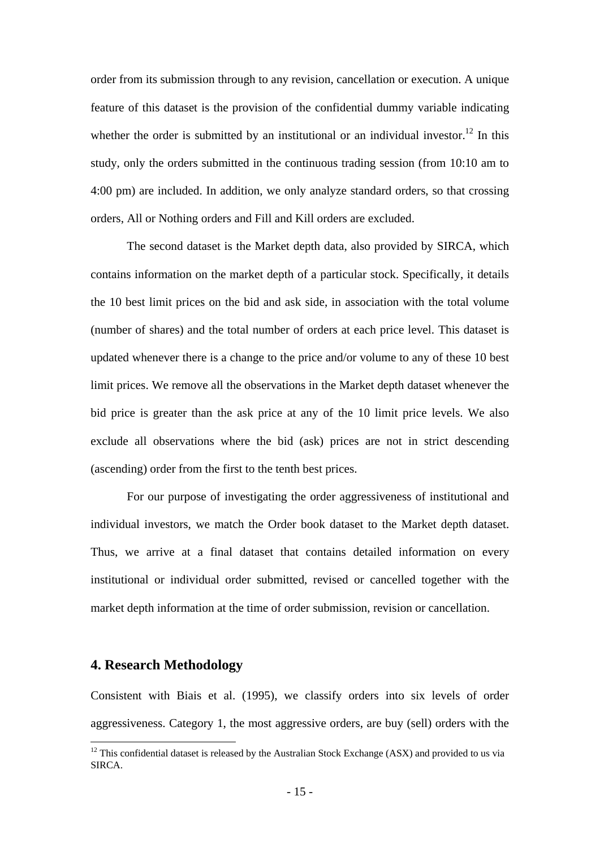order from its submission through to any revision, cancellation or execution. A unique feature of this dataset is the provision of the confidential dummy variable indicating whether the order is submitted by an institutional or an individual investor.<sup>12</sup> In this study, only the orders submitted in the continuous trading session (from 10:10 am to 4:00 pm) are included. In addition, we only analyze standard orders, so that crossing orders, All or Nothing orders and Fill and Kill orders are excluded.

The second dataset is the Market depth data, also provided by SIRCA, which contains information on the market depth of a particular stock. Specifically, it details the 10 best limit prices on the bid and ask side, in association with the total volume (number of shares) and the total number of orders at each price level. This dataset is updated whenever there is a change to the price and/or volume to any of these 10 best limit prices. We remove all the observations in the Market depth dataset whenever the bid price is greater than the ask price at any of the 10 limit price levels. We also exclude all observations where the bid (ask) prices are not in strict descending (ascending) order from the first to the tenth best prices.

For our purpose of investigating the order aggressiveness of institutional and individual investors, we match the Order book dataset to the Market depth dataset. Thus, we arrive at a final dataset that contains detailed information on every institutional or individual order submitted, revised or cancelled together with the market depth information at the time of order submission, revision or cancellation.

## **4. Research Methodology**

1

Consistent with Biais et al. (1995), we classify orders into six levels of order aggressiveness. Category 1, the most aggressive orders, are buy (sell) orders with the

 $12$  This confidential dataset is released by the Australian Stock Exchange (ASX) and provided to us via SIRCA.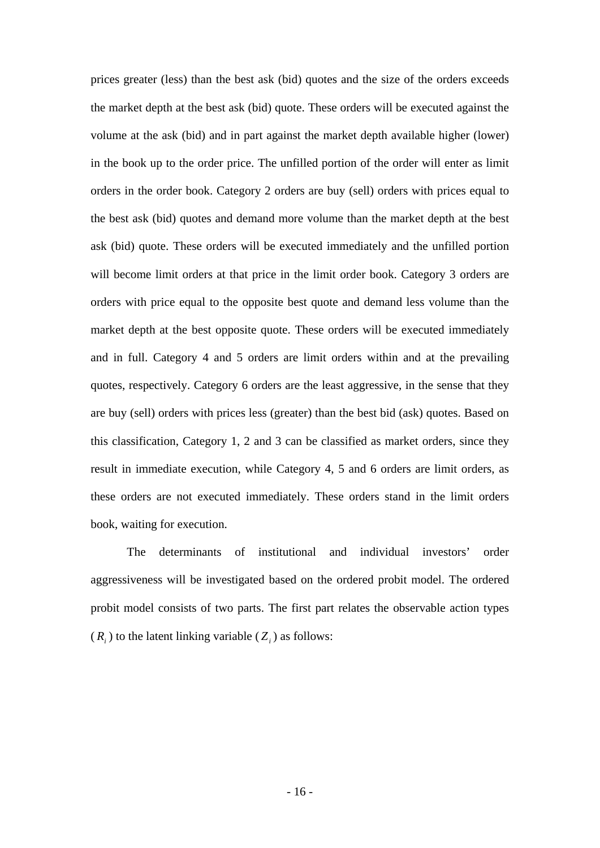prices greater (less) than the best ask (bid) quotes and the size of the orders exceeds the market depth at the best ask (bid) quote. These orders will be executed against the volume at the ask (bid) and in part against the market depth available higher (lower) in the book up to the order price. The unfilled portion of the order will enter as limit orders in the order book. Category 2 orders are buy (sell) orders with prices equal to the best ask (bid) quotes and demand more volume than the market depth at the best ask (bid) quote. These orders will be executed immediately and the unfilled portion will become limit orders at that price in the limit order book. Category 3 orders are orders with price equal to the opposite best quote and demand less volume than the market depth at the best opposite quote. These orders will be executed immediately and in full. Category 4 and 5 orders are limit orders within and at the prevailing quotes, respectively. Category 6 orders are the least aggressive, in the sense that they are buy (sell) orders with prices less (greater) than the best bid (ask) quotes. Based on this classification, Category 1, 2 and 3 can be classified as market orders, since they result in immediate execution, while Category 4, 5 and 6 orders are limit orders, as these orders are not executed immediately. These orders stand in the limit orders book, waiting for execution.

The determinants of institutional and individual investors' order aggressiveness will be investigated based on the ordered probit model. The ordered probit model consists of two parts. The first part relates the observable action types  $(R<sub>i</sub>)$  to the latent linking variable  $(Z<sub>i</sub>)$  as follows: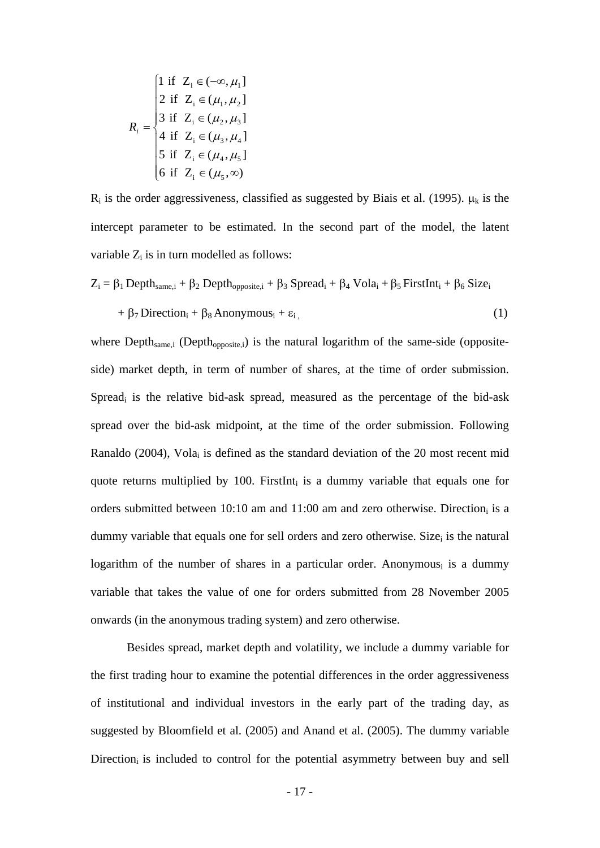$$
R_{i} = \begin{cases} 1 \text{ if } Z_{i} \in (-\infty, \mu_{1}] \\ 2 \text{ if } Z_{i} \in (\mu_{1}, \mu_{2}] \\ 3 \text{ if } Z_{i} \in (\mu_{2}, \mu_{3}] \\ 4 \text{ if } Z_{i} \in (\mu_{3}, \mu_{4}] \\ 5 \text{ if } Z_{i} \in (\mu_{4}, \mu_{5}] \\ 6 \text{ if } Z_{i} \in (\mu_{5}, \infty) \end{cases}
$$

 $R_i$  is the order aggressiveness, classified as suggested by Biais et al. (1995).  $\mu_k$  is the intercept parameter to be estimated. In the second part of the model, the latent variable  $Z_i$  is in turn modelled as follows:

$$
Z_{i} = \beta_{1} \text{Depth}_{same,i} + \beta_{2} \text{Depth}_{opposite,i} + \beta_{3} \text{Speed}_{i} + \beta_{4} \text{Vola}_{i} + \beta_{5} \text{FirstInt}_{i} + \beta_{6} \text{Size}_{i}
$$

$$
+ \beta_{7} \text{Direction}_{i} + \beta_{8} \text{Anonymous}_{i} + \varepsilon_{i}, \qquad (1)
$$

where  $Depth_{same,i}$  (Depth<sub>opposite,i</sub>) is the natural logarithm of the same-side (oppositeside) market depth, in term of number of shares, at the time of order submission. Spreadi is the relative bid-ask spread, measured as the percentage of the bid-ask spread over the bid-ask midpoint, at the time of the order submission. Following Ranaldo (2004), Volai is defined as the standard deviation of the 20 most recent mid quote returns multiplied by 100. FirstInt<sub>i</sub> is a dummy variable that equals one for orders submitted between  $10:10$  am and  $11:00$  am and zero otherwise. Direction is a dummy variable that equals one for sell orders and zero otherwise. Size is the natural logarithm of the number of shares in a particular order. Anonymous $_i$  is a dummy variable that takes the value of one for orders submitted from 28 November 2005 onwards (in the anonymous trading system) and zero otherwise.

Besides spread, market depth and volatility, we include a dummy variable for the first trading hour to examine the potential differences in the order aggressiveness of institutional and individual investors in the early part of the trading day, as suggested by Bloomfield et al. (2005) and Anand et al. (2005). The dummy variable Direction<sub>i</sub> is included to control for the potential asymmetry between buy and sell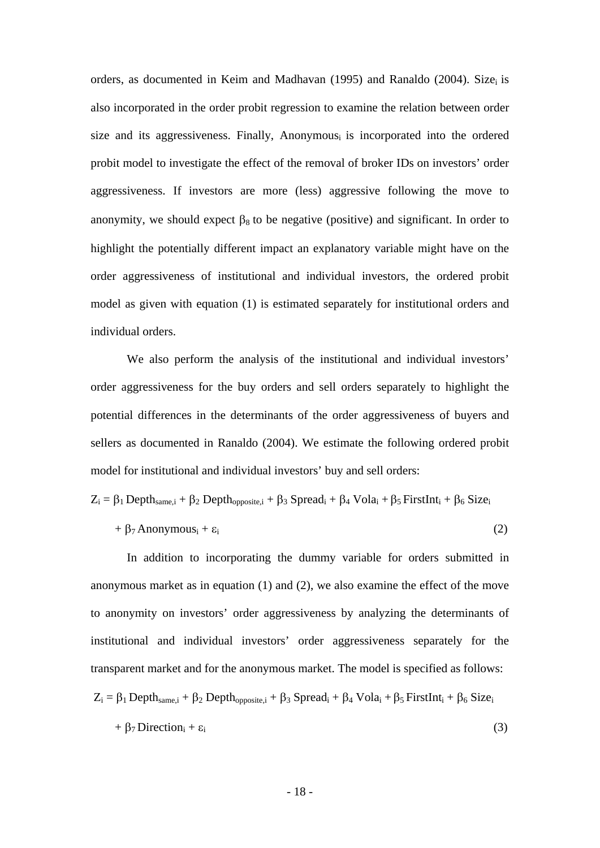orders, as documented in Keim and Madhavan (1995) and Ranaldo (2004). Size<sub>i</sub> is also incorporated in the order probit regression to examine the relation between order size and its aggressiveness. Finally, Anonymousi is incorporated into the ordered probit model to investigate the effect of the removal of broker IDs on investors' order aggressiveness. If investors are more (less) aggressive following the move to anonymity, we should expect  $\beta_8$  to be negative (positive) and significant. In order to highlight the potentially different impact an explanatory variable might have on the order aggressiveness of institutional and individual investors, the ordered probit model as given with equation (1) is estimated separately for institutional orders and individual orders.

 We also perform the analysis of the institutional and individual investors' order aggressiveness for the buy orders and sell orders separately to highlight the potential differences in the determinants of the order aggressiveness of buyers and sellers as documented in Ranaldo (2004). We estimate the following ordered probit model for institutional and individual investors' buy and sell orders:

$$
Z_i = \beta_1 \text{Depth}_{same,i} + \beta_2 \text{Depth}_{opposite,i} + \beta_3 \text{ Spread}_i + \beta_4 \text{Vol}a_i + \beta_5 \text{FirstInt}_i + \beta_6 \text{Size}_i
$$

$$
+\beta_7 \text{Anonymous}_i + \varepsilon_i \tag{2}
$$

 In addition to incorporating the dummy variable for orders submitted in anonymous market as in equation (1) and (2), we also examine the effect of the move to anonymity on investors' order aggressiveness by analyzing the determinants of institutional and individual investors' order aggressiveness separately for the transparent market and for the anonymous market. The model is specified as follows:  $Z_i = \beta_1$  Depth<sub>same,i</sub> +  $\beta_2$  Depth<sub>opposite,i</sub> +  $\beta_3$  Spread<sub>i</sub> +  $\beta_4$  Vola<sub>i</sub> +  $\beta_5$  FirstInt<sub>i</sub> +  $\beta_6$  Size<sub>i</sub>

$$
+\beta_7 \text{Direction}_i + \varepsilon_i \tag{3}
$$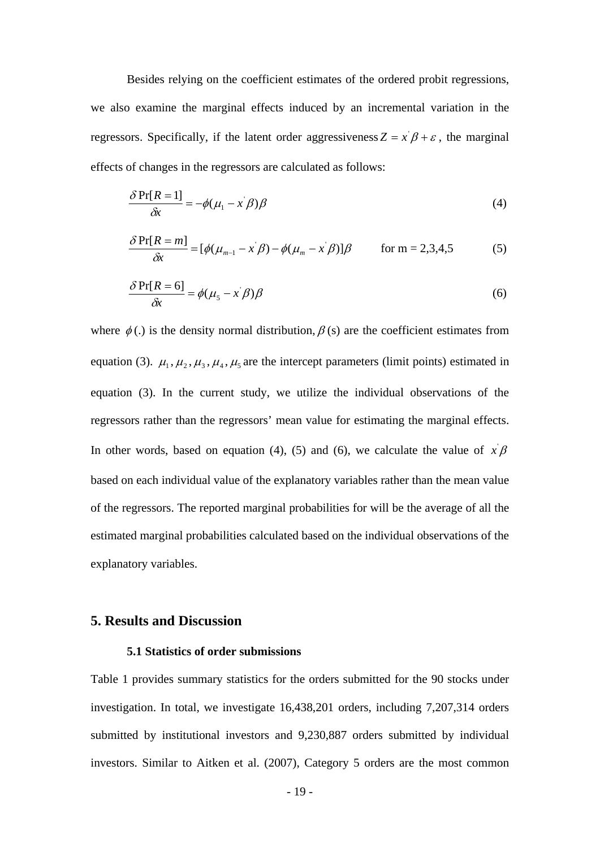Besides relying on the coefficient estimates of the ordered probit regressions, we also examine the marginal effects induced by an incremental variation in the regressors. Specifically, if the latent order aggressiveness  $Z = x^2 \beta + \varepsilon$ , the marginal effects of changes in the regressors are calculated as follows:

$$
\frac{\partial \Pr[R=1]}{\partial x} = -\phi(\mu_1 - x^{\prime} \beta) \beta \tag{4}
$$

$$
\frac{\delta \Pr[R=m]}{\delta x} = [\phi(\mu_{m-1} - x^{\prime}\beta) - \phi(\mu_m - x^{\prime}\beta)]\beta \quad \text{for } m = 2,3,4,5
$$
 (5)

$$
\frac{\delta \Pr[R=6]}{\delta x} = \phi(\mu_s - x^{\dagger} \beta) \beta \tag{6}
$$

where  $\phi$  (.) is the density normal distribution,  $\beta$  (s) are the coefficient estimates from equation (3).  $\mu_1, \mu_2, \mu_3, \mu_4, \mu_5$  are the intercept parameters (limit points) estimated in equation (3). In the current study, we utilize the individual observations of the regressors rather than the regressors' mean value for estimating the marginal effects. In other words, based on equation (4), (5) and (6), we calculate the value of  $x \beta$ based on each individual value of the explanatory variables rather than the mean value of the regressors. The reported marginal probabilities for will be the average of all the estimated marginal probabilities calculated based on the individual observations of the explanatory variables.

## **5. Results and Discussion**

## **5.1 Statistics of order submissions**

Table 1 provides summary statistics for the orders submitted for the 90 stocks under investigation. In total, we investigate 16,438,201 orders, including 7,207,314 orders submitted by institutional investors and 9,230,887 orders submitted by individual investors. Similar to Aitken et al. (2007), Category 5 orders are the most common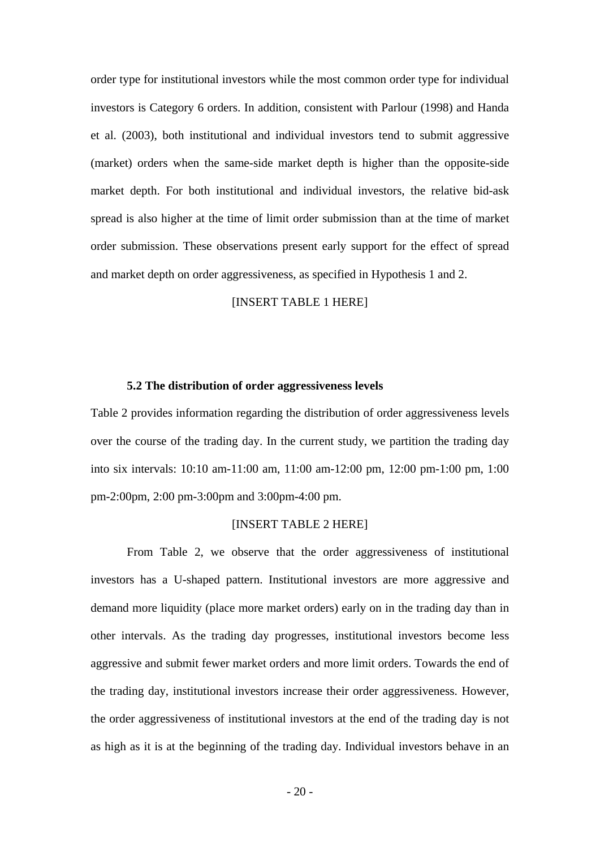order type for institutional investors while the most common order type for individual investors is Category 6 orders. In addition, consistent with Parlour (1998) and Handa et al. (2003), both institutional and individual investors tend to submit aggressive (market) orders when the same-side market depth is higher than the opposite-side market depth. For both institutional and individual investors, the relative bid-ask spread is also higher at the time of limit order submission than at the time of market order submission. These observations present early support for the effect of spread and market depth on order aggressiveness, as specified in Hypothesis 1 and 2.

## [INSERT TABLE 1 HERE]

#### **5.2 The distribution of order aggressiveness levels**

Table 2 provides information regarding the distribution of order aggressiveness levels over the course of the trading day. In the current study, we partition the trading day into six intervals: 10:10 am-11:00 am, 11:00 am-12:00 pm, 12:00 pm-1:00 pm, 1:00 pm-2:00pm, 2:00 pm-3:00pm and 3:00pm-4:00 pm.

## [INSERT TABLE 2 HERE]

From Table 2, we observe that the order aggressiveness of institutional investors has a U-shaped pattern. Institutional investors are more aggressive and demand more liquidity (place more market orders) early on in the trading day than in other intervals. As the trading day progresses, institutional investors become less aggressive and submit fewer market orders and more limit orders. Towards the end of the trading day, institutional investors increase their order aggressiveness. However, the order aggressiveness of institutional investors at the end of the trading day is not as high as it is at the beginning of the trading day. Individual investors behave in an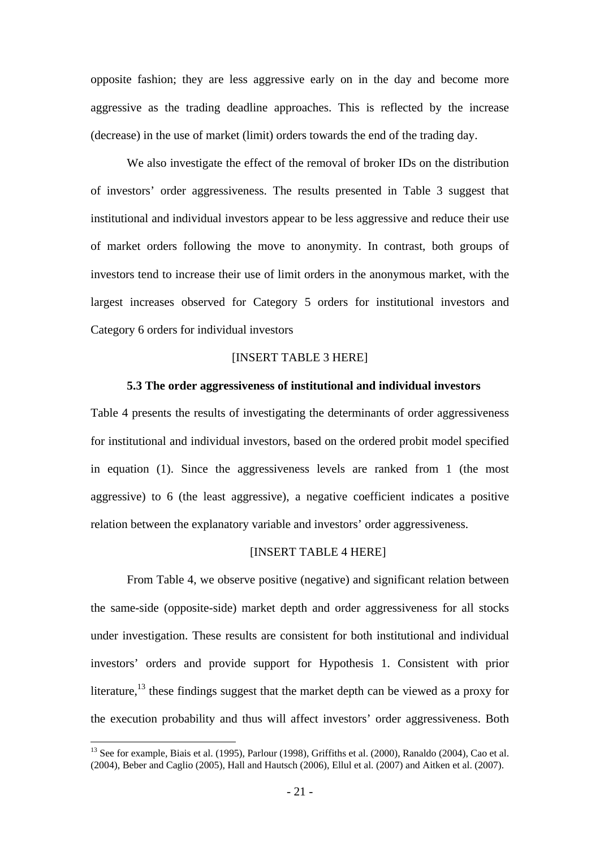opposite fashion; they are less aggressive early on in the day and become more aggressive as the trading deadline approaches. This is reflected by the increase (decrease) in the use of market (limit) orders towards the end of the trading day.

We also investigate the effect of the removal of broker IDs on the distribution of investors' order aggressiveness. The results presented in Table 3 suggest that institutional and individual investors appear to be less aggressive and reduce their use of market orders following the move to anonymity. In contrast, both groups of investors tend to increase their use of limit orders in the anonymous market, with the largest increases observed for Category 5 orders for institutional investors and Category 6 orders for individual investors

## [INSERT TABLE 3 HERE]

## **5.3 The order aggressiveness of institutional and individual investors**

Table 4 presents the results of investigating the determinants of order aggressiveness for institutional and individual investors, based on the ordered probit model specified in equation (1). Since the aggressiveness levels are ranked from 1 (the most aggressive) to 6 (the least aggressive), a negative coefficient indicates a positive relation between the explanatory variable and investors' order aggressiveness.

## [INSERT TABLE 4 HERE]

From Table 4, we observe positive (negative) and significant relation between the same-side (opposite-side) market depth and order aggressiveness for all stocks under investigation. These results are consistent for both institutional and individual investors' orders and provide support for Hypothesis 1. Consistent with prior literature,<sup>13</sup> these findings suggest that the market depth can be viewed as a proxy for the execution probability and thus will affect investors' order aggressiveness. Both

<sup>&</sup>lt;sup>13</sup> See for example, Biais et al. (1995), Parlour (1998), Griffiths et al. (2000), Ranaldo (2004), Cao et al. (2004), Beber and Caglio (2005), Hall and Hautsch (2006), Ellul et al. (2007) and Aitken et al. (2007).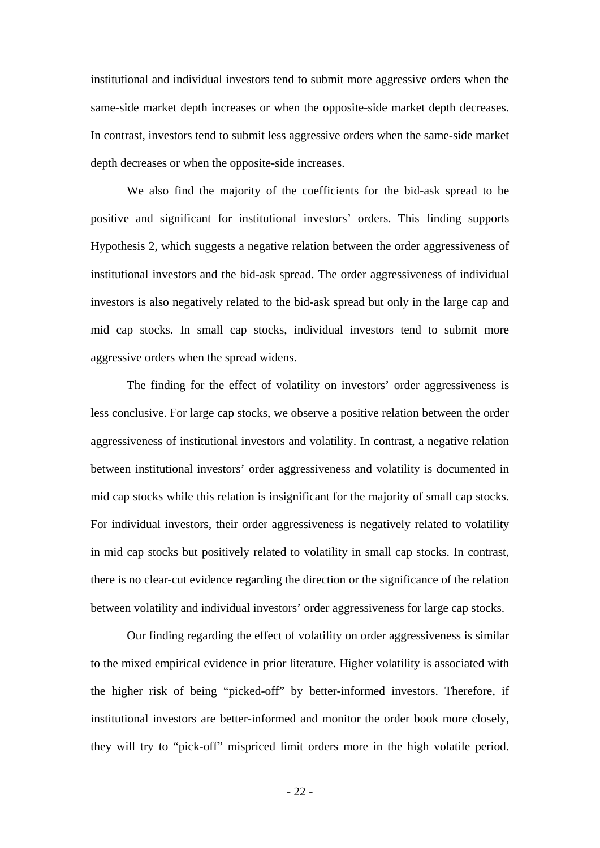institutional and individual investors tend to submit more aggressive orders when the same-side market depth increases or when the opposite-side market depth decreases. In contrast, investors tend to submit less aggressive orders when the same-side market depth decreases or when the opposite-side increases.

 We also find the majority of the coefficients for the bid-ask spread to be positive and significant for institutional investors' orders. This finding supports Hypothesis 2, which suggests a negative relation between the order aggressiveness of institutional investors and the bid-ask spread. The order aggressiveness of individual investors is also negatively related to the bid-ask spread but only in the large cap and mid cap stocks. In small cap stocks, individual investors tend to submit more aggressive orders when the spread widens.

The finding for the effect of volatility on investors' order aggressiveness is less conclusive. For large cap stocks, we observe a positive relation between the order aggressiveness of institutional investors and volatility. In contrast, a negative relation between institutional investors' order aggressiveness and volatility is documented in mid cap stocks while this relation is insignificant for the majority of small cap stocks. For individual investors, their order aggressiveness is negatively related to volatility in mid cap stocks but positively related to volatility in small cap stocks. In contrast, there is no clear-cut evidence regarding the direction or the significance of the relation between volatility and individual investors' order aggressiveness for large cap stocks.

Our finding regarding the effect of volatility on order aggressiveness is similar to the mixed empirical evidence in prior literature. Higher volatility is associated with the higher risk of being "picked-off" by better-informed investors. Therefore, if institutional investors are better-informed and monitor the order book more closely, they will try to "pick-off" mispriced limit orders more in the high volatile period.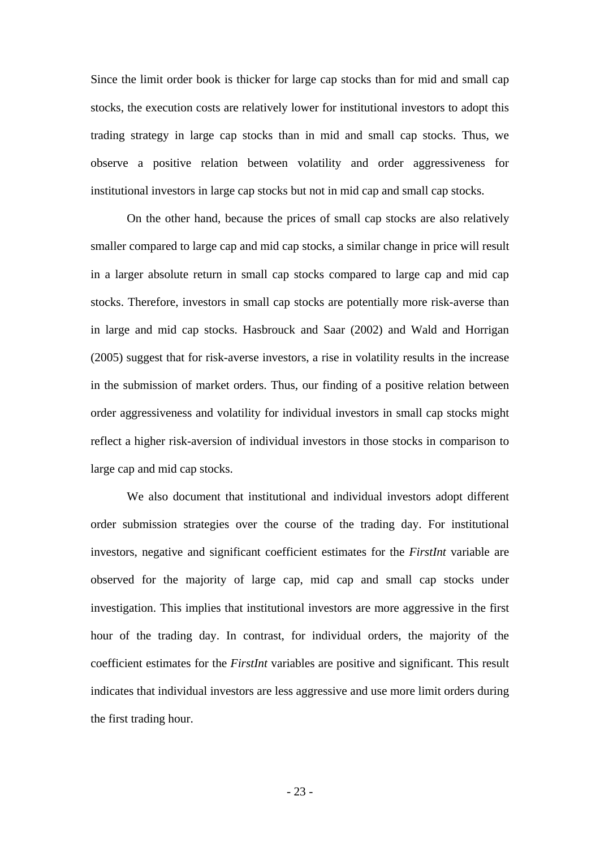Since the limit order book is thicker for large cap stocks than for mid and small cap stocks, the execution costs are relatively lower for institutional investors to adopt this trading strategy in large cap stocks than in mid and small cap stocks. Thus, we observe a positive relation between volatility and order aggressiveness for institutional investors in large cap stocks but not in mid cap and small cap stocks.

On the other hand, because the prices of small cap stocks are also relatively smaller compared to large cap and mid cap stocks, a similar change in price will result in a larger absolute return in small cap stocks compared to large cap and mid cap stocks. Therefore, investors in small cap stocks are potentially more risk-averse than in large and mid cap stocks. Hasbrouck and Saar (2002) and Wald and Horrigan (2005) suggest that for risk-averse investors, a rise in volatility results in the increase in the submission of market orders. Thus, our finding of a positive relation between order aggressiveness and volatility for individual investors in small cap stocks might reflect a higher risk-aversion of individual investors in those stocks in comparison to large cap and mid cap stocks.

We also document that institutional and individual investors adopt different order submission strategies over the course of the trading day. For institutional investors, negative and significant coefficient estimates for the *FirstInt* variable are observed for the majority of large cap, mid cap and small cap stocks under investigation. This implies that institutional investors are more aggressive in the first hour of the trading day. In contrast, for individual orders, the majority of the coefficient estimates for the *FirstInt* variables are positive and significant. This result indicates that individual investors are less aggressive and use more limit orders during the first trading hour.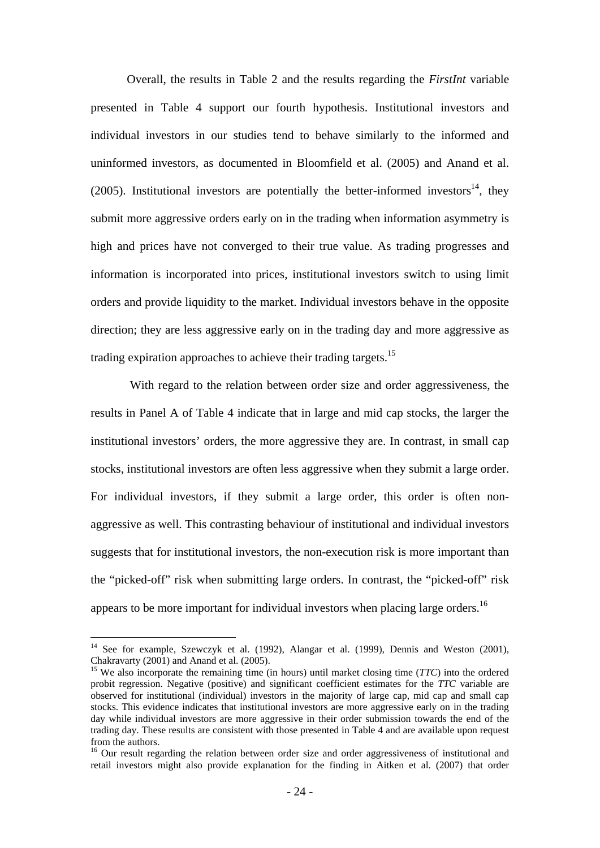Overall, the results in Table 2 and the results regarding the *FirstInt* variable presented in Table 4 support our fourth hypothesis. Institutional investors and individual investors in our studies tend to behave similarly to the informed and uninformed investors, as documented in Bloomfield et al. (2005) and Anand et al. (2005). Institutional investors are potentially the better-informed investors<sup>14</sup>, they submit more aggressive orders early on in the trading when information asymmetry is high and prices have not converged to their true value. As trading progresses and information is incorporated into prices, institutional investors switch to using limit orders and provide liquidity to the market. Individual investors behave in the opposite direction; they are less aggressive early on in the trading day and more aggressive as trading expiration approaches to achieve their trading targets.<sup>15</sup>

 With regard to the relation between order size and order aggressiveness, the results in Panel A of Table 4 indicate that in large and mid cap stocks, the larger the institutional investors' orders, the more aggressive they are. In contrast, in small cap stocks, institutional investors are often less aggressive when they submit a large order. For individual investors, if they submit a large order, this order is often nonaggressive as well. This contrasting behaviour of institutional and individual investors suggests that for institutional investors, the non-execution risk is more important than the "picked-off" risk when submitting large orders. In contrast, the "picked-off" risk appears to be more important for individual investors when placing large orders.<sup>16</sup>

<sup>&</sup>lt;sup>14</sup> See for example, Szewczyk et al. (1992), Alangar et al. (1999), Dennis and Weston (2001), Chakravarty (2001) and Anand et al. (2005).

<sup>&</sup>lt;sup>15</sup> We also incorporate the remaining time (in hours) until market closing time (*TTC*) into the ordered probit regression. Negative (positive) and significant coefficient estimates for the *TTC* variable are observed for institutional (individual) investors in the majority of large cap, mid cap and small cap stocks. This evidence indicates that institutional investors are more aggressive early on in the trading day while individual investors are more aggressive in their order submission towards the end of the trading day. These results are consistent with those presented in Table 4 and are available upon request from the authors.

<sup>&</sup>lt;sup>16</sup> Our result regarding the relation between order size and order aggressiveness of institutional and retail investors might also provide explanation for the finding in Aitken et al. (2007) that order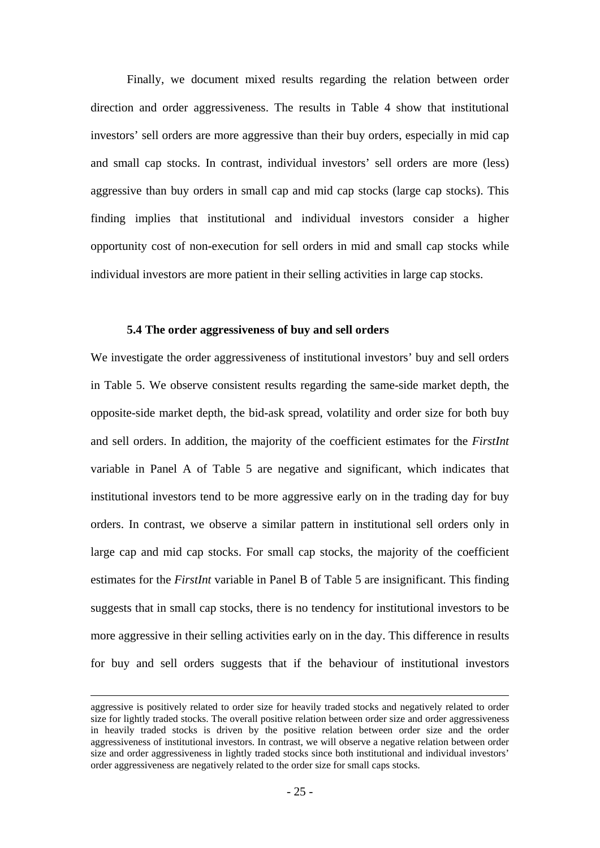Finally, we document mixed results regarding the relation between order direction and order aggressiveness. The results in Table 4 show that institutional investors' sell orders are more aggressive than their buy orders, especially in mid cap and small cap stocks. In contrast, individual investors' sell orders are more (less) aggressive than buy orders in small cap and mid cap stocks (large cap stocks). This finding implies that institutional and individual investors consider a higher opportunity cost of non-execution for sell orders in mid and small cap stocks while individual investors are more patient in their selling activities in large cap stocks.

## **5.4 The order aggressiveness of buy and sell orders**

We investigate the order aggressiveness of institutional investors' buy and sell orders in Table 5. We observe consistent results regarding the same-side market depth, the opposite-side market depth, the bid-ask spread, volatility and order size for both buy and sell orders. In addition, the majority of the coefficient estimates for the *FirstInt* variable in Panel A of Table 5 are negative and significant, which indicates that institutional investors tend to be more aggressive early on in the trading day for buy orders. In contrast, we observe a similar pattern in institutional sell orders only in large cap and mid cap stocks. For small cap stocks, the majority of the coefficient estimates for the *FirstInt* variable in Panel B of Table 5 are insignificant. This finding suggests that in small cap stocks, there is no tendency for institutional investors to be more aggressive in their selling activities early on in the day. This difference in results for buy and sell orders suggests that if the behaviour of institutional investors

aggressive is positively related to order size for heavily traded stocks and negatively related to order size for lightly traded stocks. The overall positive relation between order size and order aggressiveness in heavily traded stocks is driven by the positive relation between order size and the order aggressiveness of institutional investors. In contrast, we will observe a negative relation between order size and order aggressiveness in lightly traded stocks since both institutional and individual investors' order aggressiveness are negatively related to the order size for small caps stocks.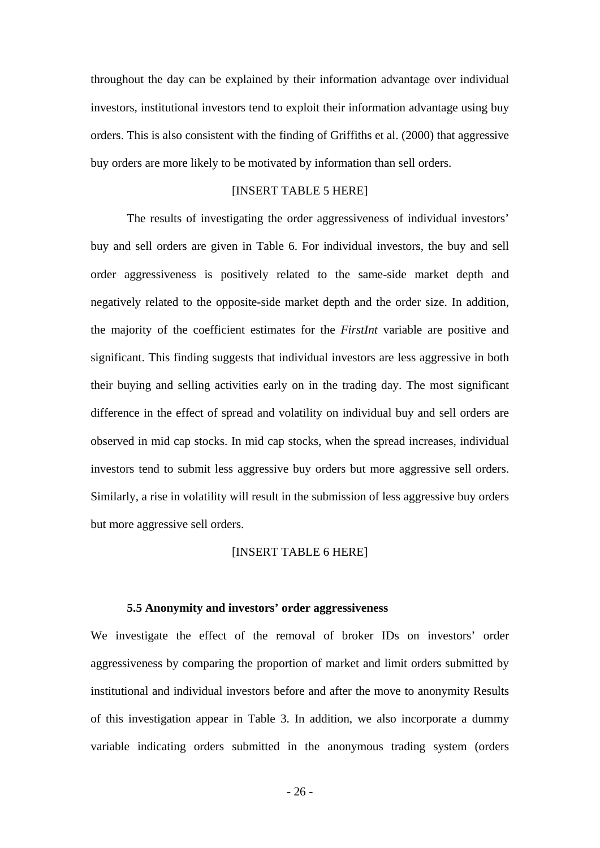throughout the day can be explained by their information advantage over individual investors, institutional investors tend to exploit their information advantage using buy orders. This is also consistent with the finding of Griffiths et al. (2000) that aggressive buy orders are more likely to be motivated by information than sell orders.

## [INSERT TABLE 5 HERE]

 The results of investigating the order aggressiveness of individual investors' buy and sell orders are given in Table 6. For individual investors, the buy and sell order aggressiveness is positively related to the same-side market depth and negatively related to the opposite-side market depth and the order size. In addition, the majority of the coefficient estimates for the *FirstInt* variable are positive and significant. This finding suggests that individual investors are less aggressive in both their buying and selling activities early on in the trading day. The most significant difference in the effect of spread and volatility on individual buy and sell orders are observed in mid cap stocks. In mid cap stocks, when the spread increases, individual investors tend to submit less aggressive buy orders but more aggressive sell orders. Similarly, a rise in volatility will result in the submission of less aggressive buy orders but more aggressive sell orders.

## [INSERT TABLE 6 HERE]

### **5.5 Anonymity and investors' order aggressiveness**

We investigate the effect of the removal of broker IDs on investors' order aggressiveness by comparing the proportion of market and limit orders submitted by institutional and individual investors before and after the move to anonymity Results of this investigation appear in Table 3. In addition, we also incorporate a dummy variable indicating orders submitted in the anonymous trading system (orders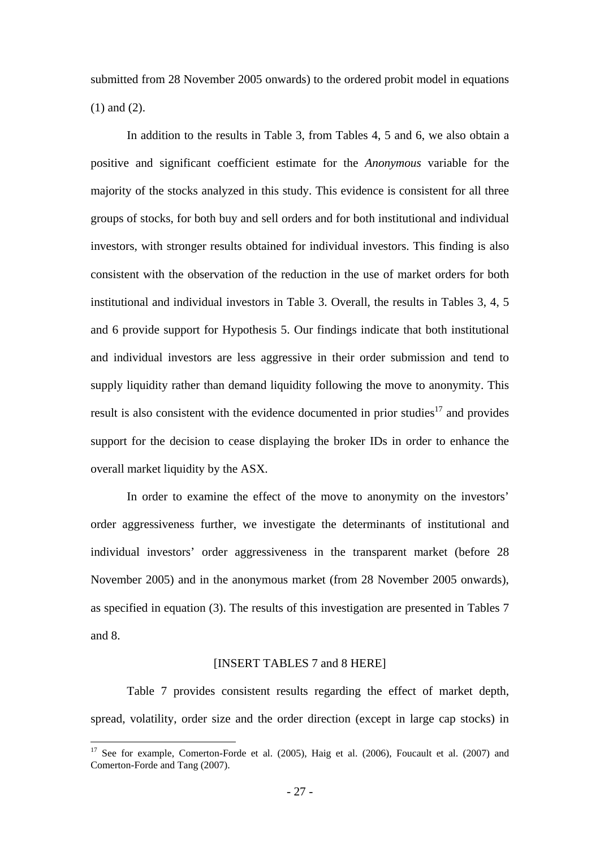submitted from 28 November 2005 onwards) to the ordered probit model in equations (1) and (2).

In addition to the results in Table 3, from Tables 4, 5 and 6, we also obtain a positive and significant coefficient estimate for the *Anonymous* variable for the majority of the stocks analyzed in this study. This evidence is consistent for all three groups of stocks, for both buy and sell orders and for both institutional and individual investors, with stronger results obtained for individual investors. This finding is also consistent with the observation of the reduction in the use of market orders for both institutional and individual investors in Table 3. Overall, the results in Tables 3, 4, 5 and 6 provide support for Hypothesis 5. Our findings indicate that both institutional and individual investors are less aggressive in their order submission and tend to supply liquidity rather than demand liquidity following the move to anonymity. This result is also consistent with the evidence documented in prior studies $17$  and provides support for the decision to cease displaying the broker IDs in order to enhance the overall market liquidity by the ASX.

In order to examine the effect of the move to anonymity on the investors' order aggressiveness further, we investigate the determinants of institutional and individual investors' order aggressiveness in the transparent market (before 28 November 2005) and in the anonymous market (from 28 November 2005 onwards), as specified in equation (3). The results of this investigation are presented in Tables 7 and 8.

## [INSERT TABLES 7 and 8 HERE]

Table 7 provides consistent results regarding the effect of market depth, spread, volatility, order size and the order direction (except in large cap stocks) in

<sup>&</sup>lt;sup>17</sup> See for example, Comerton-Forde et al. (2005), Haig et al. (2006), Foucault et al. (2007) and Comerton-Forde and Tang (2007).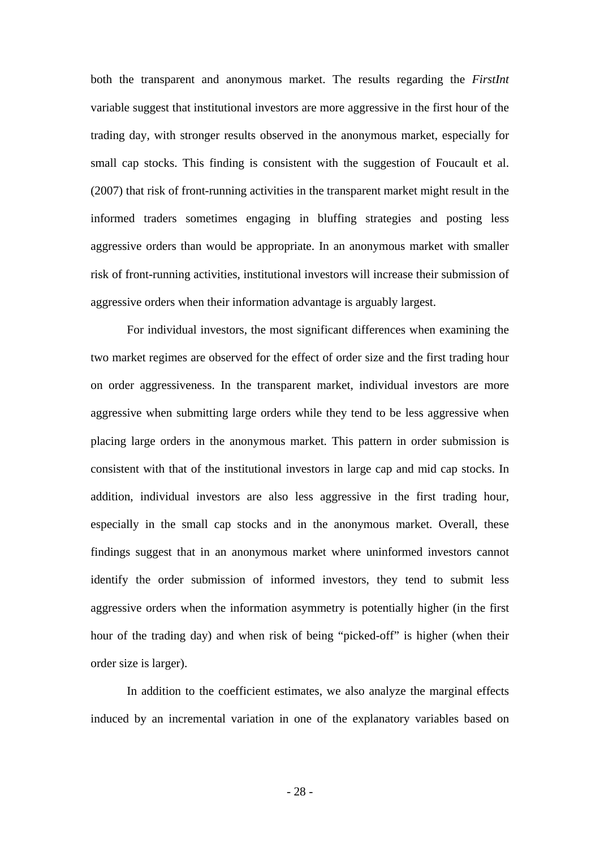both the transparent and anonymous market. The results regarding the *FirstInt* variable suggest that institutional investors are more aggressive in the first hour of the trading day, with stronger results observed in the anonymous market, especially for small cap stocks. This finding is consistent with the suggestion of Foucault et al. (2007) that risk of front-running activities in the transparent market might result in the informed traders sometimes engaging in bluffing strategies and posting less aggressive orders than would be appropriate. In an anonymous market with smaller risk of front-running activities, institutional investors will increase their submission of aggressive orders when their information advantage is arguably largest.

For individual investors, the most significant differences when examining the two market regimes are observed for the effect of order size and the first trading hour on order aggressiveness. In the transparent market, individual investors are more aggressive when submitting large orders while they tend to be less aggressive when placing large orders in the anonymous market. This pattern in order submission is consistent with that of the institutional investors in large cap and mid cap stocks. In addition, individual investors are also less aggressive in the first trading hour, especially in the small cap stocks and in the anonymous market. Overall, these findings suggest that in an anonymous market where uninformed investors cannot identify the order submission of informed investors, they tend to submit less aggressive orders when the information asymmetry is potentially higher (in the first hour of the trading day) and when risk of being "picked-off" is higher (when their order size is larger).

In addition to the coefficient estimates, we also analyze the marginal effects induced by an incremental variation in one of the explanatory variables based on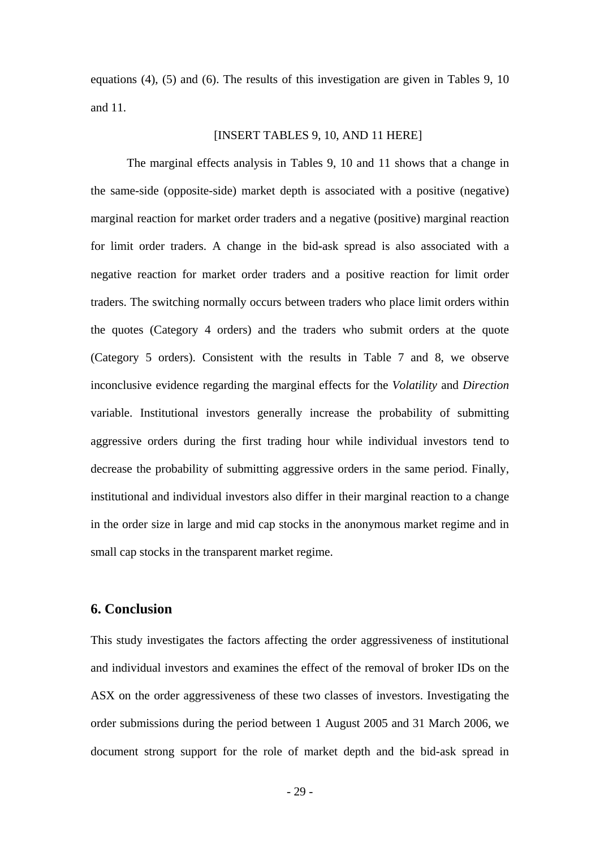equations (4), (5) and (6). The results of this investigation are given in Tables 9, 10 and 11.

### [INSERT TABLES 9, 10, AND 11 HERE]

The marginal effects analysis in Tables 9, 10 and 11 shows that a change in the same-side (opposite-side) market depth is associated with a positive (negative) marginal reaction for market order traders and a negative (positive) marginal reaction for limit order traders. A change in the bid**-**ask spread is also associated with a negative reaction for market order traders and a positive reaction for limit order traders. The switching normally occurs between traders who place limit orders within the quotes (Category 4 orders) and the traders who submit orders at the quote (Category 5 orders). Consistent with the results in Table 7 and 8, we observe inconclusive evidence regarding the marginal effects for the *Volatility* and *Direction* variable. Institutional investors generally increase the probability of submitting aggressive orders during the first trading hour while individual investors tend to decrease the probability of submitting aggressive orders in the same period. Finally, institutional and individual investors also differ in their marginal reaction to a change in the order size in large and mid cap stocks in the anonymous market regime and in small cap stocks in the transparent market regime.

## **6. Conclusion**

This study investigates the factors affecting the order aggressiveness of institutional and individual investors and examines the effect of the removal of broker IDs on the ASX on the order aggressiveness of these two classes of investors. Investigating the order submissions during the period between 1 August 2005 and 31 March 2006, we document strong support for the role of market depth and the bid-ask spread in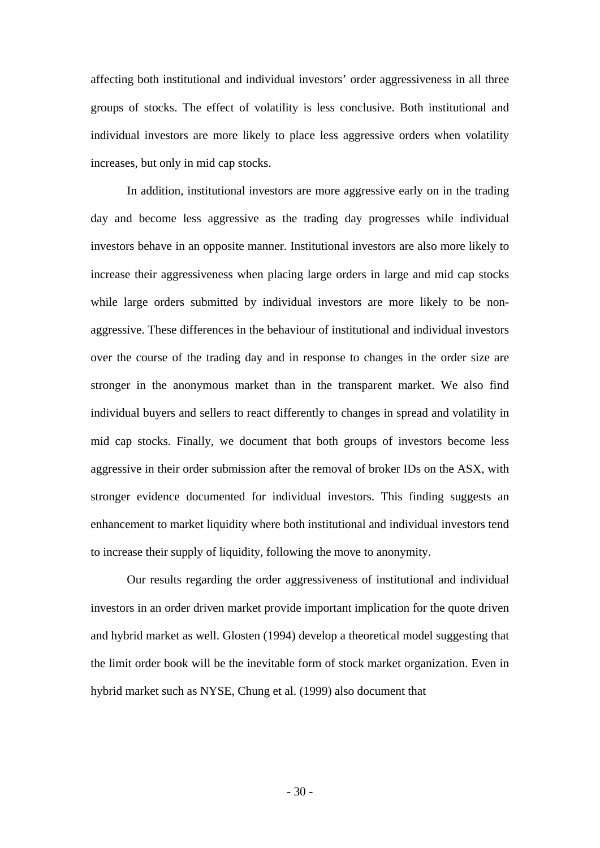affecting both institutional and individual investors' order aggressiveness in all three groups of stocks. The effect of volatility is less conclusive. Both institutional and individual investors are more likely to place less aggressive orders when volatility increases, but only in mid cap stocks.

In addition, institutional investors are more aggressive early on in the trading day and become less aggressive as the trading day progresses while individual investors behave in an opposite manner. Institutional investors are also more likely to increase their aggressiveness when placing large orders in large and mid cap stocks while large orders submitted by individual investors are more likely to be nonaggressive. These differences in the behaviour of institutional and individual investors over the course of the trading day and in response to changes in the order size are stronger in the anonymous market than in the transparent market. We also find individual buyers and sellers to react differently to changes in spread and volatility in mid cap stocks. Finally, we document that both groups of investors become less aggressive in their order submission after the removal of broker IDs on the ASX, with stronger evidence documented for individual investors. This finding suggests an enhancement to market liquidity where both institutional and individual investors tend to increase their supply of liquidity, following the move to anonymity.

Our results regarding the order aggressiveness of institutional and individual investors in an order driven market provide important implication for the quote driven and hybrid market as well. Glosten (1994) develop a theoretical model suggesting that the limit order book will be the inevitable form of stock market organization. Even in hybrid market such as NYSE, Chung et al. (1999) also document that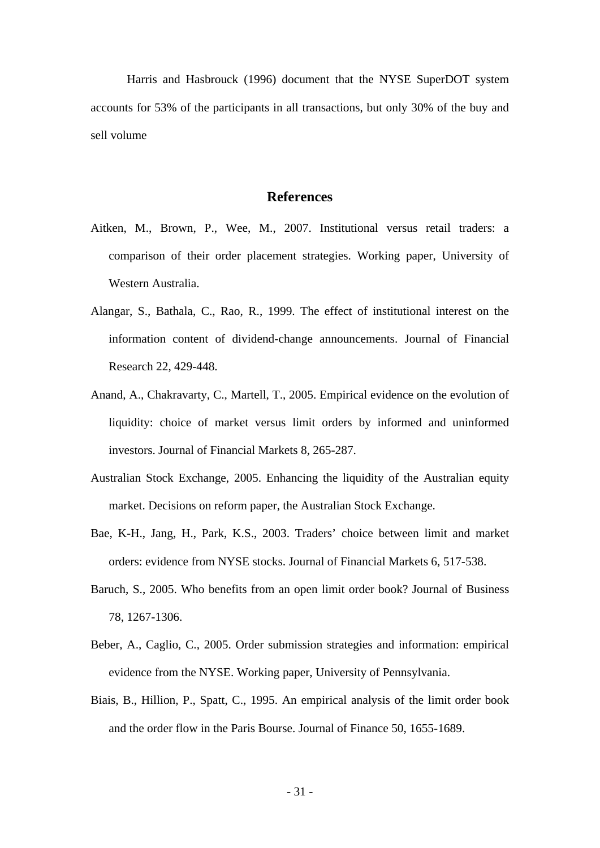Harris and Hasbrouck (1996) document that the NYSE SuperDOT system accounts for 53% of the participants in all transactions, but only 30% of the buy and sell volume

## **References**

- Aitken, M., Brown, P., Wee, M., 2007. Institutional versus retail traders: a comparison of their order placement strategies. Working paper, University of Western Australia.
- Alangar, S., Bathala, C., Rao, R., 1999. The effect of institutional interest on the information content of dividend-change announcements. Journal of Financial Research 22, 429-448.
- Anand, A., Chakravarty, C., Martell, T., 2005. Empirical evidence on the evolution of liquidity: choice of market versus limit orders by informed and uninformed investors. Journal of Financial Markets 8, 265-287.
- Australian Stock Exchange, 2005. Enhancing the liquidity of the Australian equity market. Decisions on reform paper, the Australian Stock Exchange.
- Bae, K-H., Jang, H., Park, K.S., 2003. Traders' choice between limit and market orders: evidence from NYSE stocks. Journal of Financial Markets 6, 517-538.
- Baruch, S., 2005. Who benefits from an open limit order book? Journal of Business 78, 1267-1306.
- Beber, A., Caglio, C., 2005. Order submission strategies and information: empirical evidence from the NYSE. Working paper, University of Pennsylvania.
- Biais, B., Hillion, P., Spatt, C., 1995. An empirical analysis of the limit order book and the order flow in the Paris Bourse. Journal of Finance 50, 1655-1689.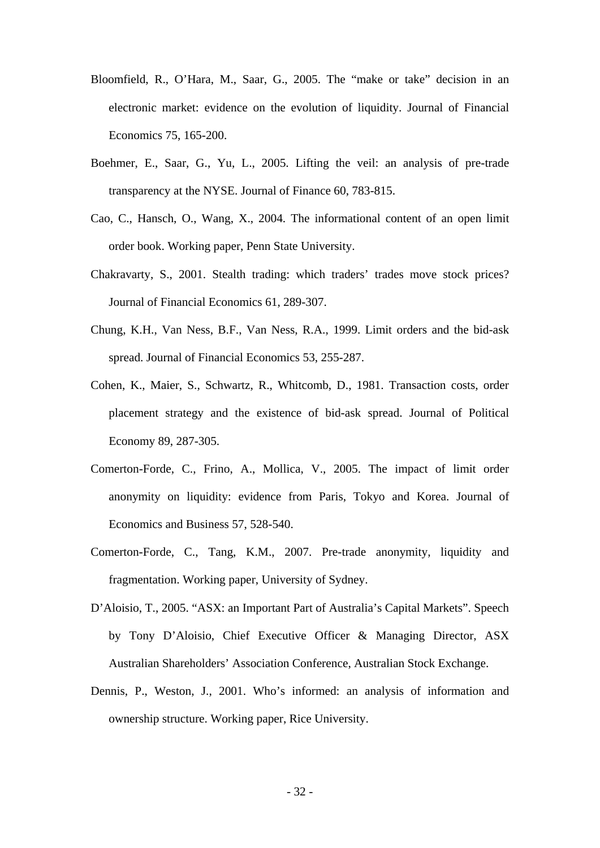- Bloomfield, R., O'Hara, M., Saar, G., 2005. The "make or take" decision in an electronic market: evidence on the evolution of liquidity. Journal of Financial Economics 75, 165-200.
- Boehmer, E., Saar, G., Yu, L., 2005. Lifting the veil: an analysis of pre-trade transparency at the NYSE. Journal of Finance 60, 783-815.
- Cao, C., Hansch, O., Wang, X., 2004. The informational content of an open limit order book. Working paper, Penn State University.
- Chakravarty, S., 2001. Stealth trading: which traders' trades move stock prices? Journal of Financial Economics 61, 289-307.
- Chung, K.H., Van Ness, B.F., Van Ness, R.A., 1999. Limit orders and the bid-ask spread. Journal of Financial Economics 53, 255-287.
- Cohen, K., Maier, S., Schwartz, R., Whitcomb, D., 1981. Transaction costs, order placement strategy and the existence of bid-ask spread. Journal of Political Economy 89, 287-305.
- Comerton-Forde, C., Frino, A., Mollica, V., 2005. The impact of limit order anonymity on liquidity: evidence from Paris, Tokyo and Korea. Journal of Economics and Business 57, 528-540.
- Comerton-Forde, C., Tang, K.M., 2007. Pre-trade anonymity, liquidity and fragmentation. Working paper, University of Sydney.
- D'Aloisio, T., 2005. "ASX: an Important Part of Australia's Capital Markets". Speech by Tony D'Aloisio, Chief Executive Officer & Managing Director, ASX Australian Shareholders' Association Conference, Australian Stock Exchange.
- Dennis, P., Weston, J., 2001. Who's informed: an analysis of information and ownership structure. Working paper, Rice University.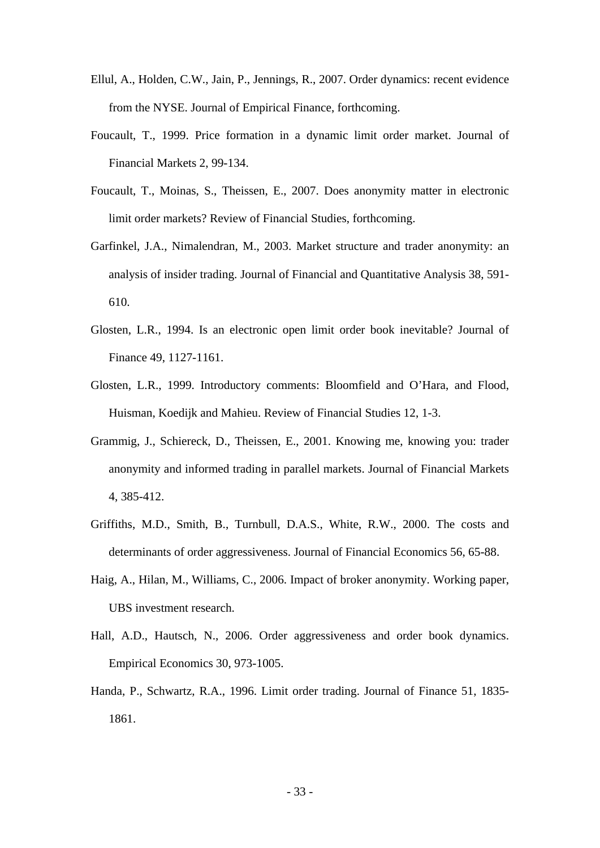- Ellul, A., Holden, C.W., Jain, P., Jennings, R., 2007. Order dynamics: recent evidence from the NYSE. Journal of Empirical Finance, forthcoming.
- Foucault, T., 1999. Price formation in a dynamic limit order market. Journal of Financial Markets 2, 99-134.
- Foucault, T., Moinas, S., Theissen, E., 2007. Does anonymity matter in electronic limit order markets? Review of Financial Studies, forthcoming.
- Garfinkel, J.A., Nimalendran, M., 2003. Market structure and trader anonymity: an analysis of insider trading. Journal of Financial and Quantitative Analysis 38, 591- 610.
- Glosten, L.R., 1994. Is an electronic open limit order book inevitable? Journal of Finance 49, 1127-1161.
- Glosten, L.R., 1999. Introductory comments: Bloomfield and O'Hara, and Flood, Huisman, Koedijk and Mahieu. Review of Financial Studies 12, 1-3.
- Grammig, J., Schiereck, D., Theissen, E., 2001. Knowing me, knowing you: trader anonymity and informed trading in parallel markets. Journal of Financial Markets 4, 385-412.
- Griffiths, M.D., Smith, B., Turnbull, D.A.S., White, R.W., 2000. The costs and determinants of order aggressiveness. Journal of Financial Economics 56, 65-88.
- Haig, A., Hilan, M., Williams, C., 2006. Impact of broker anonymity. Working paper, UBS investment research.
- Hall, A.D., Hautsch, N., 2006. Order aggressiveness and order book dynamics. Empirical Economics 30, 973-1005.
- Handa, P., Schwartz, R.A., 1996. Limit order trading. Journal of Finance 51, 1835- 1861.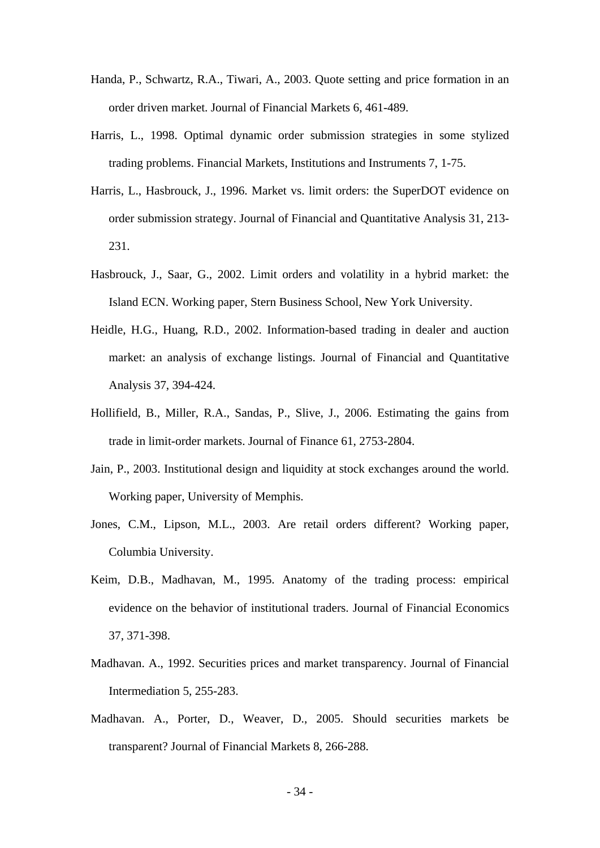- Handa, P., Schwartz, R.A., Tiwari, A., 2003. Quote setting and price formation in an order driven market. Journal of Financial Markets 6, 461-489.
- Harris, L., 1998. Optimal dynamic order submission strategies in some stylized trading problems. Financial Markets, Institutions and Instruments 7, 1-75.
- Harris, L., Hasbrouck, J., 1996. Market vs. limit orders: the SuperDOT evidence on order submission strategy. Journal of Financial and Quantitative Analysis 31, 213- 231.
- Hasbrouck, J., Saar, G., 2002. Limit orders and volatility in a hybrid market: the Island ECN. Working paper, Stern Business School, New York University.
- Heidle, H.G., Huang, R.D., 2002. Information-based trading in dealer and auction market: an analysis of exchange listings. Journal of Financial and Quantitative Analysis 37, 394-424.
- Hollifield, B., Miller, R.A., Sandas, P., Slive, J., 2006. Estimating the gains from trade in limit-order markets. Journal of Finance 61, 2753-2804.
- Jain, P., 2003. Institutional design and liquidity at stock exchanges around the world. Working paper, University of Memphis.
- Jones, C.M., Lipson, M.L., 2003. Are retail orders different? Working paper, Columbia University.
- Keim, D.B., Madhavan, M., 1995. Anatomy of the trading process: empirical evidence on the behavior of institutional traders. Journal of Financial Economics 37, 371-398.
- Madhavan. A., 1992. Securities prices and market transparency. Journal of Financial Intermediation 5, 255-283.
- Madhavan. A., Porter, D., Weaver, D., 2005. Should securities markets be transparent? Journal of Financial Markets 8, 266-288.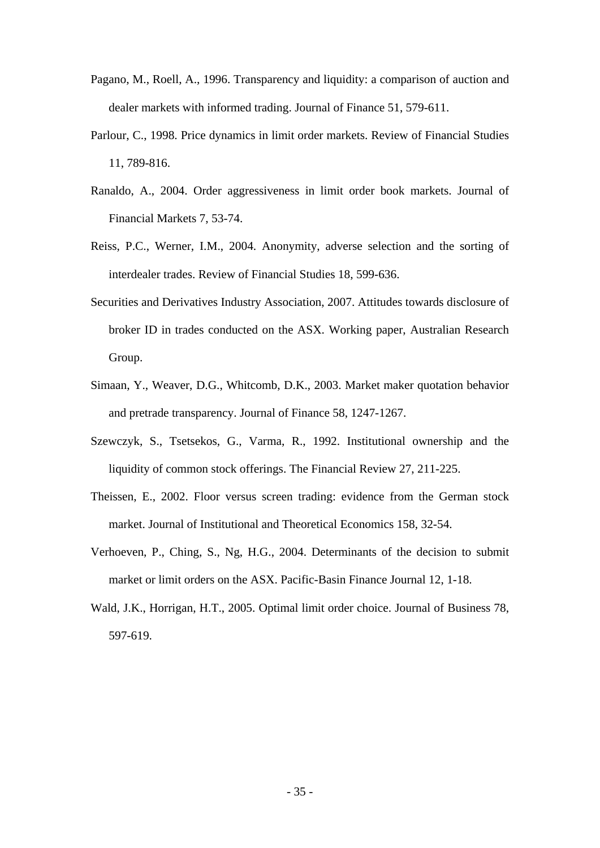- Pagano, M., Roell, A., 1996. Transparency and liquidity: a comparison of auction and dealer markets with informed trading. Journal of Finance 51, 579-611.
- Parlour, C., 1998. Price dynamics in limit order markets. Review of Financial Studies 11, 789-816.
- Ranaldo, A., 2004. Order aggressiveness in limit order book markets. Journal of Financial Markets 7, 53-74.
- Reiss, P.C., Werner, I.M., 2004. Anonymity, adverse selection and the sorting of interdealer trades. Review of Financial Studies 18, 599-636.
- Securities and Derivatives Industry Association, 2007. Attitudes towards disclosure of broker ID in trades conducted on the ASX. Working paper, Australian Research Group.
- Simaan, Y., Weaver, D.G., Whitcomb, D.K., 2003. Market maker quotation behavior and pretrade transparency. Journal of Finance 58, 1247-1267.
- Szewczyk, S., Tsetsekos, G., Varma, R., 1992. Institutional ownership and the liquidity of common stock offerings. The Financial Review 27, 211-225.
- Theissen, E., 2002. Floor versus screen trading: evidence from the German stock market. Journal of Institutional and Theoretical Economics 158, 32-54.
- Verhoeven, P., Ching, S., Ng, H.G., 2004. Determinants of the decision to submit market or limit orders on the ASX. Pacific-Basin Finance Journal 12, 1-18.
- Wald, J.K., Horrigan, H.T., 2005. Optimal limit order choice. Journal of Business 78, 597-619.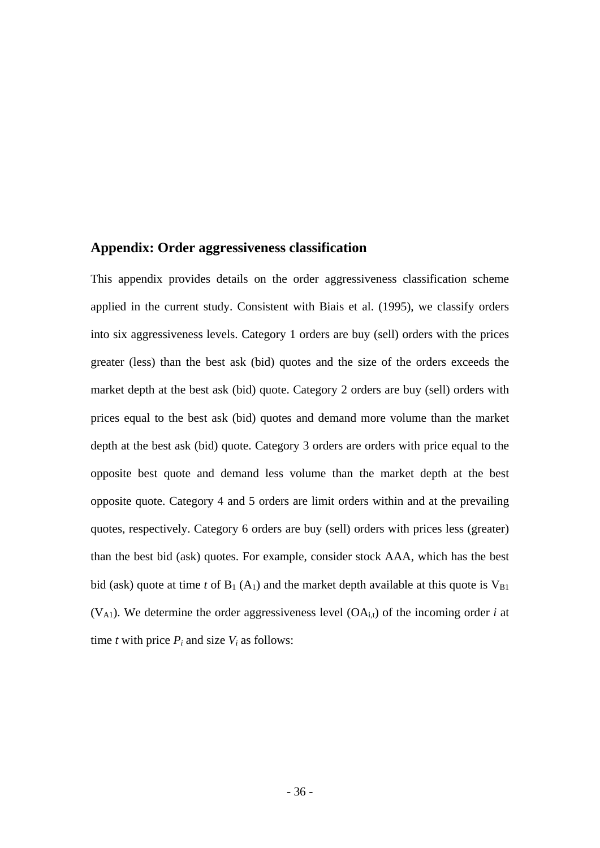## **Appendix: Order aggressiveness classification**

This appendix provides details on the order aggressiveness classification scheme applied in the current study. Consistent with Biais et al. (1995), we classify orders into six aggressiveness levels. Category 1 orders are buy (sell) orders with the prices greater (less) than the best ask (bid) quotes and the size of the orders exceeds the market depth at the best ask (bid) quote. Category 2 orders are buy (sell) orders with prices equal to the best ask (bid) quotes and demand more volume than the market depth at the best ask (bid) quote. Category 3 orders are orders with price equal to the opposite best quote and demand less volume than the market depth at the best opposite quote. Category 4 and 5 orders are limit orders within and at the prevailing quotes, respectively. Category 6 orders are buy (sell) orders with prices less (greater) than the best bid (ask) quotes. For example, consider stock AAA, which has the best bid (ask) quote at time *t* of  $B_1(A_1)$  and the market depth available at this quote is  $V_{B1}$  $(V_{A1})$ . We determine the order aggressiveness level  $(OA_{i,t})$  of the incoming order *i* at time *t* with price  $P_i$  and size  $V_i$  as follows: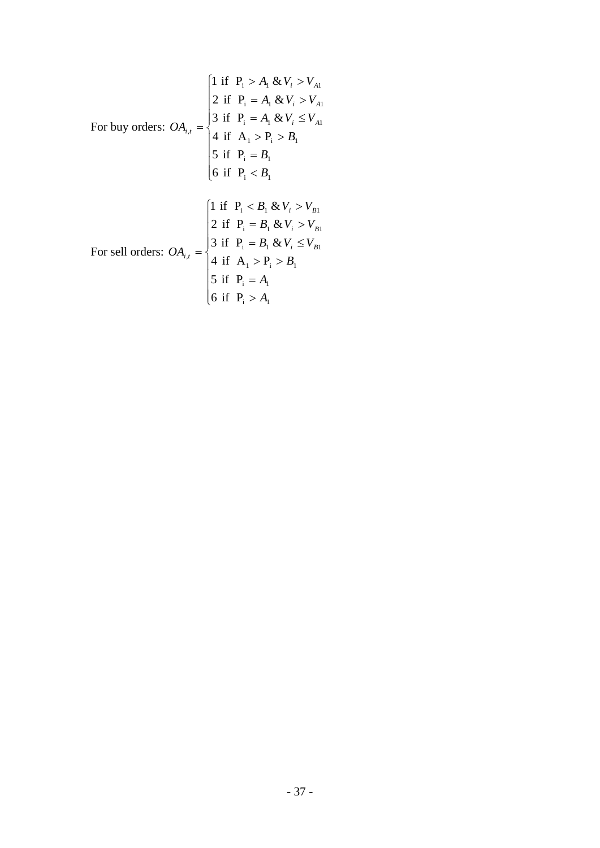$$
\begin{aligned}\n\text{For buy orders: } O A_{i,t} &= \begin{cases}\n1 & \text{if } P_i > A_1 \& V_i > V_{A1} \\
2 & \text{if } P_i = A_1 \& V_i > V_{A1} \\
3 & \text{if } P_i = A_1 \& V_i \le V_{A1} \\
4 & \text{if } A_1 > P_i > B_1 \\
5 & \text{if } P_i = B_1 \\
6 & \text{if } P_i < B_1\n\end{cases} \\
\text{For sell orders: } O A_{i,t} &= \begin{cases}\n1 & \text{if } P_i < B_1 \& V_i > V_{B1} \\
2 & \text{if } P_i = B_1 \& V_i > V_{B1} \\
3 & \text{if } P_i = B_1 \& V_i > V_{B1} \\
4 & \text{if } A_1 > P_i > B_1 \\
4 & \text{if } A_1 > P_i > B_1 \\
5 & \text{if } P_i = A_1 \\
6 & \text{if } P_i > A_1\n\end{cases}\n\end{aligned}
$$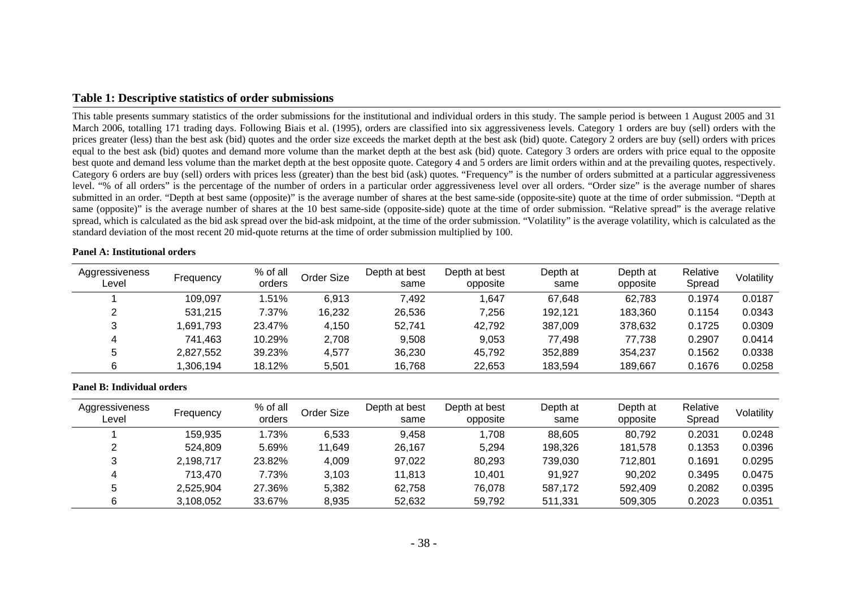## **Table 1: Descriptive statistics of order submissions**

This table presents summary statistics of the order submissions for the institutional and individual orders in this study. The sample period is between 1 August 2005 and 31 March 2006, totalling 171 trading days. Following Biais et al. (1995), orders are classified into six aggressiveness levels. Category 1 orders are buy (sell) orders with the prices greater (less) than the best ask (bid) quotes and the order size exceeds the market depth at the best ask (bid) quote. Category 2 orders are buy (sell) orders with prices equal to the best ask (bid) quotes and demand more volume than the market depth at the best ask (bid) quote. Category 3 orders are orders with price equal to the opposite best quote and demand less volume than the market depth at the best opposite quote. Category 4 and 5 orders are limit orders within and at the prevailing quotes, respectively. Category 6 orders are buy (sell) orders with prices less (greater) than the best bid (ask) quotes. "Frequency" is the number of orders submitted at a particular aggressiveness level. "% of all orders" is the percentage of the number of orders in a particular order aggressiveness level over all orders. "Order size" is the average number of shares submitted in an order. "Depth at best same (opposite)" is the average number of shares at the best same-side (opposite-site) quote at the time of order submission. "Depth at same (opposite)" is the average number of shares at the 10 best same-side (opposite-side) quote at the time of order submission. "Relative spread" is the average relative spread, which is calculated as the bid ask spread over the bid-ask midpoint, at the time of the order submission. "Volatility" is the average volatility, which is calculated as the standard deviation of the most recent 20 mid-quote returns at the time of order submission multiplied by 100.

#### **Panel A: Institutional orders**

| Aggressiveness<br>Level | Frequency | % of all<br>orders | Order Size | Depth at best<br>same | Depth at best<br>opposite | Depth at<br>same | Depth at<br>opposite | Relative<br>Spread | Volatility |
|-------------------------|-----------|--------------------|------------|-----------------------|---------------------------|------------------|----------------------|--------------------|------------|
|                         | 109.097   | .51%               | 6.913      | 7,492                 | .647                      | 67.648           | 62.783               | 0.1974             | 0.0187     |
|                         | 531.215   | 7.37%              | 16,232     | 26.536                | 7,256                     | 192.121          | 183.360              | 0.1154             | 0.0343     |
| າ<br>ت                  | .691.793  | 23.47%             | 4,150      | 52.741                | 42,792                    | 387,009          | 378.632              | 0.1725             | 0.0309     |
| 4                       | 741.463   | 10.29%             | 2,708      | 9,508                 | 9,053                     | 77,498           | 77.738               | 0.2907             | 0.0414     |
| ა                       | 2.827.552 | 39.23%             | 4,577      | 36,230                | 45,792                    | 352,889          | 354.237              | 0.1562             | 0.0338     |
| 6                       | 306,194   | 18.12%             | 5,501      | 16,768                | 22,653                    | 183,594          | 189.667              | 0.1676             | 0.0258     |

| Aggressiveness<br>Level | Frequency | % of all<br>orders | Order Size | Depth at best<br>same | Depth at best<br>opposite | Depth at<br>same | Depth at<br>opposite | Relative<br>Spread | Volatility |
|-------------------------|-----------|--------------------|------------|-----------------------|---------------------------|------------------|----------------------|--------------------|------------|
|                         | 159.935   | .73%               | 6,533      | 9,458                 | 1,708                     | 88,605           | 80,792               | 0.2031             | 0.0248     |
| ∠                       | 524.809   | 5.69%              | 11,649     | 26,167                | 5,294                     | 198,326          | 181,578              | 0.1353             | 0.0396     |
| 3                       | 2.198.717 | 23.82%             | 4,009      | 97,022                | 80,293                    | 739,030          | 712.801              | 0.1691             | 0.0295     |
| 4                       | 713.470   | 7.73%              | 3,103      | 11,813                | 10,401                    | 91,927           | 90,202               | 0.3495             | 0.0475     |
| 5                       | 2.525.904 | 27.36%             | 5,382      | 62,758                | 76.078                    | 587.172          | 592.409              | 0.2082             | 0.0395     |
| 6                       | 3,108,052 | 33.67%             | 8,935      | 52,632                | 59,792                    | 511,331          | 509,305              | 0.2023             | 0.0351     |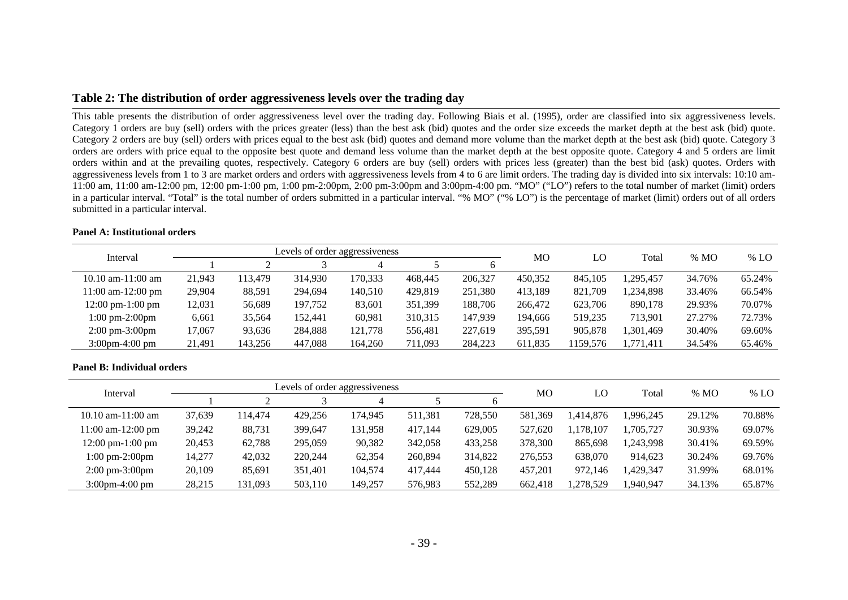## **Table 2: The distribution of order aggressiveness levels over the trading day**

This table presents the distribution of order aggressiveness level over the trading day. Following Biais et al. (1995), order are classified into six aggressiveness levels. Category 1 orders are buy (sell) orders with the prices greater (less) than the best ask (bid) quotes and the order size exceeds the market depth at the best ask (bid) quote. Category 2 orders are buy (sell) orders with prices equal to the best ask (bid) quotes and demand more volume than the market depth at the best ask (bid) quote. Category 3 orders are orders with price equal to the opposite best quote and demand less volume than the market depth at the best opposite quote. Category 4 and 5 orders are limit orders within and at the prevailing quotes, respectively. Category 6 orders are buy (sell) orders with prices less (greater) than the best bid (ask) quotes. Orders with aggressiveness levels from 1 to 3 are market orders and orders with aggressiveness levels from 4 to 6 are limit orders. The trading day is divided into six intervals: 10:10 am-11:00 am, 11:00 am-12:00 pm, 12:00 pm-1:00 pm, 1:00 pm-2:00pm, 2:00 pm-3:00pm and 3:00pm-4:00 pm. "MO" ("LO") refers to the total number of market (limit) orders in a particular interval. "Total" is the total number of orders submitted in a particular interval. "% MO" ("% LO") is the percentage of market (limit) orders out of all orders submitted in a particular interval.

| Interval                           |        |         | Levels of order aggressiveness |         |         |         | MO      | LO       | Total     | % MO   | % LO   |
|------------------------------------|--------|---------|--------------------------------|---------|---------|---------|---------|----------|-----------|--------|--------|
|                                    |        |         |                                | 4       |         |         |         |          |           |        |        |
| $10.10$ am- $11:00$ am             | 21,943 | 113.479 | 314,930                        | 170,333 | 468,445 | 206,327 | 450,352 | 845,105  | ,295,457  | 34.76% | 65.24% |
| $11:00$ am- $12:00$ pm             | 29,904 | 88,591  | 294,694                        | 140,510 | 429,819 | 251,380 | 413,189 | 821,709  | 1,234,898 | 33.46% | 66.54% |
| $12:00 \text{ pm}-1:00 \text{ pm}$ | 12,031 | 56,689  | 197,752                        | 83,601  | 351,399 | 188,706 | 266,472 | 623,706  | 890,178   | 29.93% | 70.07% |
| $1:00 \text{ pm-}2:00 \text{pm}$   | 6,661  | 35.564  | 152,441                        | 60,981  | 310,315 | 147,939 | 194.666 | 519.235  | 713.901   | 27.27% | 72.73% |
| $2:00 \text{ pm}-3:00 \text{pm}$   | 17.067 | 93,636  | 284,888                        | 121,778 | 556,481 | 227,619 | 395,591 | 905,878  | ,301,469  | 30.40% | 69.60% |
| $3:00 \text{pm} - 4:00 \text{pm}$  | 21,491 | 143,256 | 447,088                        | 164,260 | 711,093 | 284,223 | 611,835 | 1159.576 | 1,771,411 | 34.54% | 65.46% |

#### **Panel A: Institutional orders**

| Interval                           |        |         | Levels of order aggressiveness |         |         |         | MO      | LO        | Total    | % MO   | % LO   |
|------------------------------------|--------|---------|--------------------------------|---------|---------|---------|---------|-----------|----------|--------|--------|
|                                    |        |         |                                |         |         |         |         |           |          |        |        |
| $10.10$ am- $11:00$ am             | 37.639 | 114.474 | 429,256                        | 174.945 | 511,381 | 728,550 | 581,369 | 414,876.  | ,996,245 | 29.12% | 70.88% |
| $11:00$ am- $12:00$ pm             | 39,242 | 88,731  | 399,647                        | 131,958 | 417,144 | 629,005 | 527,620 | .178.107  | .705.727 | 30.93% | 69.07% |
| $12:00 \text{ pm-}1:00 \text{ pm}$ | 20,453 | 62,788  | 295,059                        | 90,382  | 342,058 | 433,258 | 378,300 | 865.698   | ,243,998 | 30.41% | 69.59% |
| $1:00 \text{ pm-}2:00 \text{pm}$   | 14,277 | 42,032  | 220,244                        | 62,354  | 260,894 | 314,822 | 276,553 | 638,070   | 914.623  | 30.24% | 69.76% |
| $2:00 \text{ pm}-3:00 \text{pm}$   | 20,109 | 85.691  | 351,401                        | 104,574 | 417.444 | 450,128 | 457.201 | 972.146   | .429.347 | 31.99% | 68.01% |
| $3:00 \text{pm} - 4:00 \text{pm}$  | 28.215 | 131.093 | 503,110                        | 149,257 | 576,983 | 552,289 | 662,418 | 1.278.529 | .940.947 | 34.13% | 65.87% |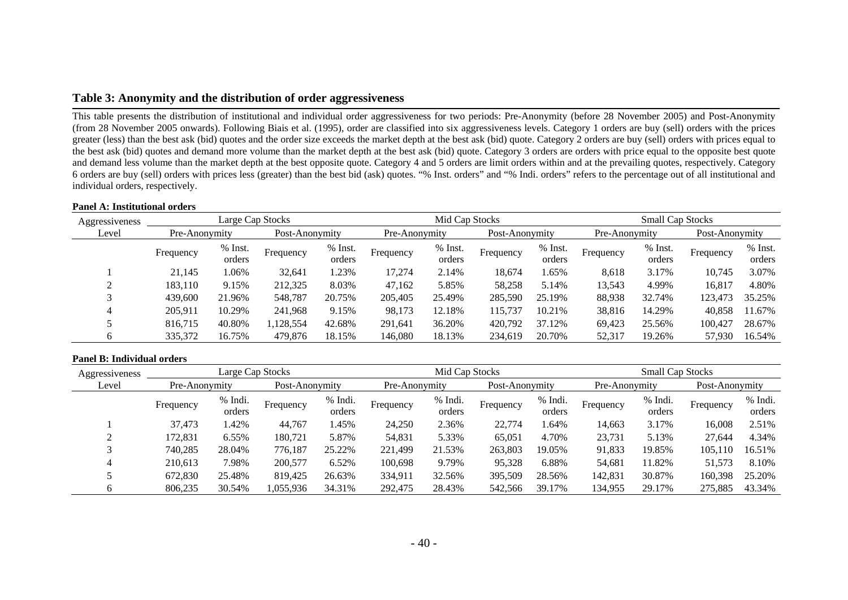## **Table 3: Anonymity and the distribution of order aggressiveness**

This table presents the distribution of institutional and individual order aggressiveness for two periods: Pre-Anonymity (before 28 November 2005) and Post-Anonymity (from 28 November 2005 onwards). Following Biais et al. (1995), order are classified into six aggressiveness levels. Category 1 orders are buy (sell) orders with the prices greater (less) than the best ask (bid) quotes and the order size exceeds the market depth at the best ask (bid) quote. Category 2 orders are buy (sell) orders with prices equal to the best ask (bid) quotes and demand more volume than the market depth at the best ask (bid) quote. Category 3 orders are orders with price equal to the opposite best quote and demand less volume than the market depth at the best opposite quote. Category 4 and 5 orders are limit orders within and at the prevailing quotes, respectively. Category 6 orders are buy (sell) orders with prices less (greater) than the best bid (ask) quotes. "% Inst. orders" and "% Indi. orders" refers to the percentage out of all institutional and individual orders, respectively.

#### **Panel A: Institutional orders**

| Aggressiveness |                                 | Large Cap Stocks  |           |                   |           | Mid Cap Stocks    |                |                     | <b>Small Cap Stocks</b> |                     |           |                   |  |
|----------------|---------------------------------|-------------------|-----------|-------------------|-----------|-------------------|----------------|---------------------|-------------------------|---------------------|-----------|-------------------|--|
| Level          | Post-Anonymity<br>Pre-Anonymity |                   |           | Pre-Anonymity     |           |                   | Post-Anonymity |                     | Pre-Anonymity           | Post-Anonymity      |           |                   |  |
|                | Frequency                       | % Inst.<br>orders | Frequency | % Inst.<br>orders | Frequency | % Inst.<br>orders | Frequency      | $%$ Inst.<br>orders | Frequency               | $%$ Inst.<br>orders | Frequency | % Inst.<br>orders |  |
|                | 21.145                          | 1.06%             | 32,641    | .23%              | 17,274    | 2.14%             | 18.674         | 1.65%               | 8,618                   | 3.17%               | 10.745    | 3.07%             |  |
|                | 183,110                         | 9.15%             | 212,325   | 8.03%             | 47,162    | 5.85%             | 58,258         | 5.14%               | 13,543                  | 4.99%               | 16,817    | 4.80%             |  |
|                | 439,600                         | 21.96%            | 548,787   | 20.75%            | 205,405   | 25.49%            | 285,590        | 25.19%              | 88,938                  | 32.74%              | 123,473   | 35.25%            |  |
| 4              | 205.911                         | 10.29%            | 241,968   | 9.15%             | 98,173    | 12.18%            | 115.737        | 10.21%              | 38,816                  | 14.29%              | 40.858    | 11.67%            |  |
|                | 816,715                         | 40.80%            | 1,128,554 | 42.68%            | 291,641   | 36.20%            | 420,792        | 37.12%              | 69,423                  | 25.56%              | 100,427   | 28.67%            |  |
|                | 335,372                         | 16.75%            | 479,876   | 18.15%            | 146,080   | 18.13%            | 234,619        | 20.70%              | 52,317                  | 19.26%              | 57,930    | 16.54%            |  |

| Aggressiveness |               | Large Cap Stocks  |                |                   |               | Mid Cap Stocks    |                |                   | <b>Small Cap Stocks</b> |                   |                |                   |  |
|----------------|---------------|-------------------|----------------|-------------------|---------------|-------------------|----------------|-------------------|-------------------------|-------------------|----------------|-------------------|--|
| Level          | Pre-Anonymity |                   | Post-Anonymity |                   | Pre-Anonymity |                   | Post-Anonymity |                   | Pre-Anonymity           |                   | Post-Anonymity |                   |  |
|                | Frequency     | % Indi.<br>orders | Frequency      | % Indi.<br>orders | Frequency     | % Indi.<br>orders | Frequency      | % Indi.<br>orders | Frequency               | % Indi.<br>orders | Frequency      | % Indi.<br>orders |  |
|                | 37.473        | .42%              | 44,767         | .45%              | 24,250        | 2.36%             | 22,774         | .64%              | 14,663                  | 3.17%             | 16.008         | 2.51%             |  |
|                | 172,831       | 6.55%             | 180,721        | 5.87%             | 54,831        | 5.33%             | 65,051         | 4.70%             | 23,731                  | 5.13%             | 27.644         | 4.34%             |  |
|                | 740,285       | 28.04%            | 776,187        | 25.22%            | 221,499       | 21.53%            | 263,803        | 19.05%            | 91,833                  | 19.85%            | 105,110        | 16.51%            |  |
|                | 210,613       | 7.98%             | 200,577        | 6.52%             | 100,698       | 9.79%             | 95,328         | 6.88%             | 54,681                  | 11.82%            | 51,573         | 8.10%             |  |
|                | 672,830       | 25.48%            | 819,425        | 26.63%            | 334,911       | 32.56%            | 395,509        | 28.56%            | 142,831                 | 30.87%            | 160,398        | 25.20%            |  |
|                | 806,235       | 30.54%            | 1,055,936      | 34.31%            | 292,475       | 28.43%            | 542,566        | 39.17%            | 134,955                 | 29.17%            | 275,885        | 43.34%            |  |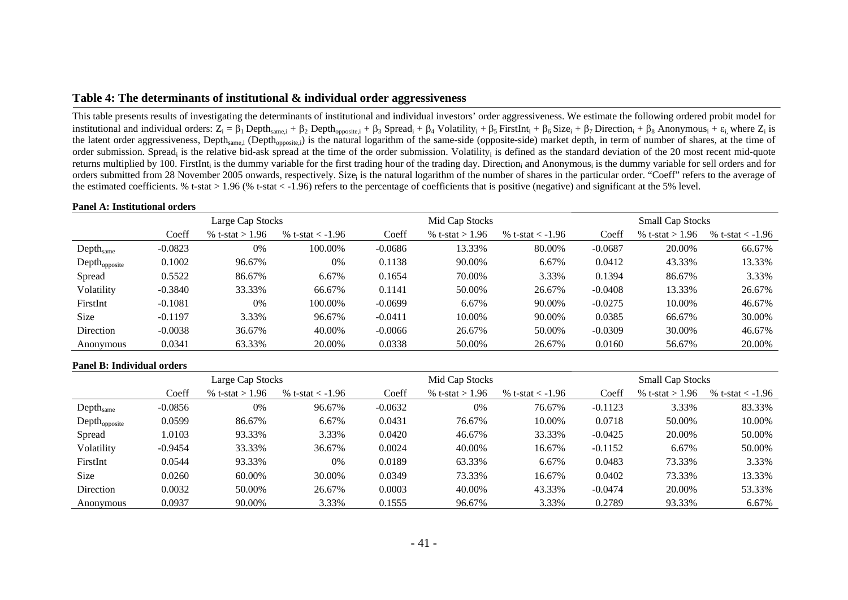## **Table 4: The determinants of institutional & individual order aggressiveness**

This table presents results of investigating the determinants of institutional and individual investors' order aggressiveness. We estimate the following ordered probit model for institutional and individual orders:  $Z_i = \beta_1$  Depth<sub>same,i</sub> +  $\beta_2$  Depth<sub>opposite,i</sub> +  $\beta_3$  Spread<sub>i</sub> +  $\beta_4$  Volatility<sub>i</sub> +  $\beta_5$  FirstInt<sub>i</sub> +  $\beta_6$  Size<sub>i</sub> +  $\beta_7$  Direction<sub>i</sub> +  $\beta_8$  Anonymous<sub>i</sub> +  $\epsilon_i$  w the latent order aggressiveness, Depth<sub>same,i</sub> (Depth<sub>opposite,j</sub>) is the natural logarithm of the same-side (opposite-side) market depth, in term of number of shares, at the time of order submission. Spread<sub>i</sub> is the relative bid-ask spread at the time of the order submission. Volatility<sub>i</sub> is defined as the standard deviation of the 20 most recent mid-quote returns multiplied by 100. FirstInt<sub>i</sub> is the dummy variable for the first trading hour of the trading day. Direction<sub>i</sub> and Anonymous<sub>i</sub> is the dummy variable for sell orders and for orders submitted from 28 November 2005 onwards, respectively. Size<sub>i</sub> is the natural logarithm of the number of shares in the particular order. "Coeff" refers to the average of the estimated coefficients. % t-stat > 1.96 (% t-stat < -1.96) refers to the percentage of coefficients that is positive (negative) and significant at the 5% level.

#### **Panel A: Institutional orders**

|                       |           | Large Cap Stocks  |                      |           | Mid Cap Stocks    |                    | <b>Small Cap Stocks</b> |                   |                    |  |
|-----------------------|-----------|-------------------|----------------------|-----------|-------------------|--------------------|-------------------------|-------------------|--------------------|--|
|                       | Coeff     | % t-stat $> 1.96$ | % t-stat $\lt$ -1.96 | Coeff     | % t-stat $> 1.96$ | % t-stat $<$ -1.96 | Coeff                   | % t-stat $> 1.96$ | % t-stat $<$ -1.96 |  |
| Depth <sub>same</sub> | $-0.0823$ | 0%                | 100.00%              | $-0.0686$ | 13.33%            | 80.00%             | $-0.0687$               | 20.00%            | 66.67%             |  |
| $Depth_{opposite}$    | 0.1002    | 96.67%            | $0\%$                | 0.1138    | 90.00%            | 6.67%              | 0.0412                  | 43.33%            | 13.33%             |  |
| Spread                | 0.5522    | 86.67%            | 6.67%                | 0.1654    | 70.00%            | 3.33%              | 0.1394                  | 86.67%            | 3.33%              |  |
| Volatility            | $-0.3840$ | 33.33%            | 66.67%               | 0.1141    | 50.00%            | 26.67%             | $-0.0408$               | 13.33%            | 26.67%             |  |
| FirstInt              | $-0.1081$ | 0%                | 100.00%              | $-0.0699$ | 6.67%             | 90.00%             | $-0.0275$               | 10.00%            | 46.67%             |  |
| <b>Size</b>           | $-0.1197$ | 3.33%             | 96.67%               | $-0.0411$ | 10.00%            | 90.00%             | 0.0385                  | 66.67%            | 30.00%             |  |
| Direction             | $-0.0038$ | 36.67%            | 40.00%               | $-0.0066$ | 26.67%            | 50.00%             | $-0.0309$               | 30.00%            | 46.67%             |  |
| Anonymous             | 0.0341    | 63.33%            | 20.00%               | 0.0338    | 50.00%            | 26.67%             | 0.0160                  | 56.67%            | 20.00%             |  |

|                           | Large Cap Stocks |                   |                    |           | Mid Cap Stocks    |                    | <b>Small Cap Stocks</b> |                   |                    |  |
|---------------------------|------------------|-------------------|--------------------|-----------|-------------------|--------------------|-------------------------|-------------------|--------------------|--|
|                           | Coeff            | % t-stat $> 1.96$ | % t-stat $<$ -1.96 | Coeff     | % t-stat $> 1.96$ | % t-stat $<$ -1.96 | Coeff                   | % t-stat > $1.96$ | % t-stat $<$ -1.96 |  |
| Depth <sub>same</sub>     | $-0.0856$        | 0%                | 96.67%             | $-0.0632$ | 0%                | 76.67%             | $-0.1123$               | 3.33%             | 83.33%             |  |
| Depth <sub>opposite</sub> | 0.0599           | 86.67%            | 6.67%              | 0.0431    | 76.67%            | 10.00%             | 0.0718                  | 50.00%            | 10.00%             |  |
| Spread                    | 1.0103           | 93.33%            | 3.33%              | 0.0420    | 46.67%            | 33.33%             | $-0.0425$               | 20.00%            | 50.00%             |  |
| Volatility                | $-0.9454$        | 33.33%            | 36.67%             | 0.0024    | 40.00%            | 16.67%             | $-0.1152$               | 6.67%             | 50.00%             |  |
| FirstInt                  | 0.0544           | 93.33%            | 0%                 | 0.0189    | 63.33%            | 6.67%              | 0.0483                  | 73.33%            | 3.33%              |  |
| <b>Size</b>               | 0.0260           | 60.00%            | 30.00%             | 0.0349    | 73.33%            | 16.67%             | 0.0402                  | 73.33%            | 13.33%             |  |
| Direction                 | 0.0032           | 50.00%            | 26.67%             | 0.0003    | 40.00%            | 43.33%             | $-0.0474$               | 20.00%            | 53.33%             |  |
| Anonymous                 | 0.0937           | 90.00%            | 3.33%              | 0.1555    | 96.67%            | 3.33%              | 0.2789                  | 93.33%            | 6.67%              |  |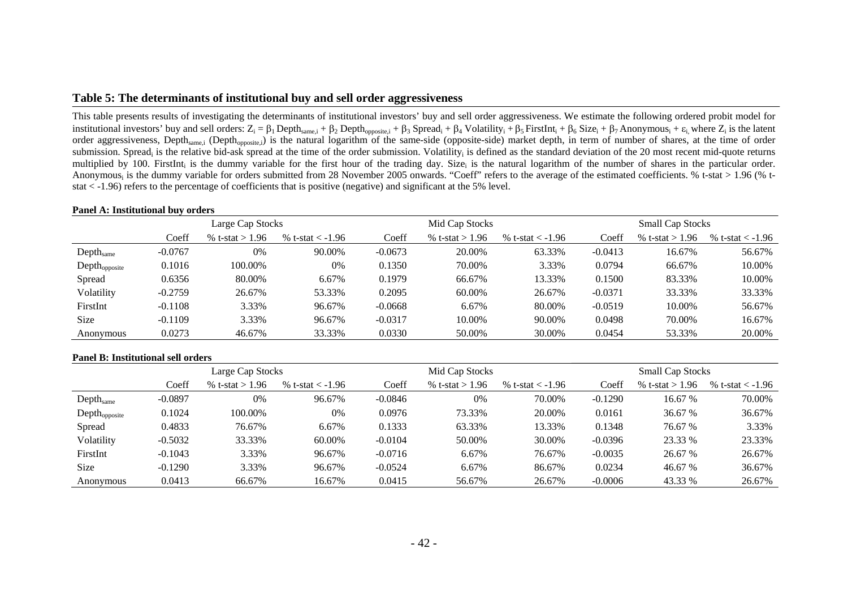## **Table 5: The determinants of institutional buy and sell order aggressiveness**

This table presents results of investigating the determinants of institutional investors' buy and sell order aggressiveness. We estimate the following ordered probit model for institutional investors' buy and sell orders:  $Z_i = \beta_1$  Depth<sub>same,i</sub> +  $\beta_2$  Depth<sub>opposite,i</sub> +  $\beta_3$  Spread<sub>i</sub> +  $\beta_4$  Volatility<sub>i</sub> +  $\beta_5$  FirstInt<sub>i</sub> +  $\beta_6$  Size<sub>i</sub> +  $\beta_7$  Anonymous<sub>i</sub> +  $\varepsilon_i$ , where  $Z_i$  i order aggressiveness, Depth<sub>same,i</sub> (Depth<sub>opposite,i</sub>) is the natural logarithm of the same-side (opposite-side) market depth, in term of number of shares, at the time of order submission. Spread<sub>i</sub> is the relative bid-ask spread at the time of the order submission. Volatility<sub>i</sub> is defined as the standard deviation of the 20 most recent mid-quote returns multiplied by 100. FirstInt, is the dummy variable for the first hour of the trading day. Size, is the natural logarithm of the number of shares in the particular order. Anonymous<sub>i</sub> is the dummy variable for orders submitted from 28 November 2005 onwards. "Coeff" refers to the average of the estimated coefficients. % t-stat > 1.96 (% tstat < -1.96) refers to the percentage of coefficients that is positive (negative) and significant at the 5% level.

#### **Panel A: Institutional buy orders**

|                       |           | Large Cap Stocks  |                    |           | Mid Cap Stocks    |                    | <b>Small Cap Stocks</b> |                   |                    |  |
|-----------------------|-----------|-------------------|--------------------|-----------|-------------------|--------------------|-------------------------|-------------------|--------------------|--|
|                       | Coeff     | % t-stat $> 1.96$ | % t-stat $<$ -1.96 | Coeff     | % t-stat $> 1.96$ | % t-stat $<$ -1.96 | Coeff                   | % t-stat $> 1.96$ | % t-stat $<$ -1.96 |  |
| Depth <sub>same</sub> | $-0.0767$ | 0%                | 90.00%             | $-0.0673$ | 20.00%            | 63.33%             | $-0.0413$               | 16.67%            | 56.67%             |  |
| $Depth_{opposite}$    | 0.1016    | 100.00%           | 0%                 | 0.1350    | 70.00%            | 3.33%              | 0.0794                  | 66.67%            | 10.00%             |  |
| Spread                | 0.6356    | 80.00%            | 6.67%              | 0.1979    | 66.67%            | 13.33%             | 0.1500                  | 83.33%            | 10.00%             |  |
| Volatility            | $-0.2759$ | 26.67%            | 53.33%             | 0.2095    | 60.00%            | 26.67%             | $-0.0371$               | 33.33%            | 33.33%             |  |
| FirstInt              | $-0.1108$ | 3.33%             | 96.67%             | $-0.0668$ | 6.67%             | 80.00%             | $-0.0519$               | 10.00%            | 56.67%             |  |
| Size                  | $-0.1109$ | 3.33%             | 96.67%             | $-0.0317$ | 10.00%            | 90.00%             | 0.0498                  | 70.00%            | 16.67%             |  |
| Anonymous             | 0.0273    | 46.67%            | 33.33%             | 0.0330    | 50.00%            | 30.00%             | 0.0454                  | 53.33%            | 20.00%             |  |

#### **Panel B: Institutional sell orders**

|                       |           | Large Cap Stocks  |                      |           | Mid Cap Stocks    |                    | <b>Small Cap Stocks</b> |                   |                    |  |
|-----------------------|-----------|-------------------|----------------------|-----------|-------------------|--------------------|-------------------------|-------------------|--------------------|--|
|                       | Coeff     | % t-stat > $1.96$ | % t-stat $\lt$ -1.96 | Coeff     | % t-stat $> 1.96$ | % t-stat $<$ -1.96 | Coeff                   | % t-stat > $1.96$ | % t-stat $<$ -1.96 |  |
| Depth <sub>same</sub> | $-0.0897$ | 0%                | 96.67%               | $-0.0846$ | 0%                | 70.00%             | $-0.1290$               | 16.67 %           | 70.00%             |  |
| $Depth_{opposite}$    | 0.1024    | 100.00%           | 0%                   | 0.0976    | 73.33%            | 20.00%             | 0.0161                  | 36.67 %           | 36.67%             |  |
| Spread                | 0.4833    | 76.67%            | 6.67%                | 0.1333    | 63.33%            | 13.33%             | 0.1348                  | 76.67 %           | 3.33%              |  |
| Volatility            | $-0.5032$ | 33.33%            | 60.00%               | $-0.0104$ | 50.00%            | 30.00%             | $-0.0396$               | 23.33 %           | 23.33%             |  |
| FirstInt              | $-0.1043$ | 3.33%             | 96.67%               | $-0.0716$ | 6.67%             | 76.67%             | $-0.0035$               | 26.67 %           | 26.67%             |  |
| <b>Size</b>           | $-0.1290$ | 3.33%             | 96.67%               | $-0.0524$ | 6.67%             | 86.67%             | 0.0234                  | 46.67 %           | 36.67%             |  |
| Anonymous             | 0.0413    | 66.67%            | 16.67%               | 0.0415    | 56.67%            | 26.67%             | $-0.0006$               | 43.33 %           | 26.67%             |  |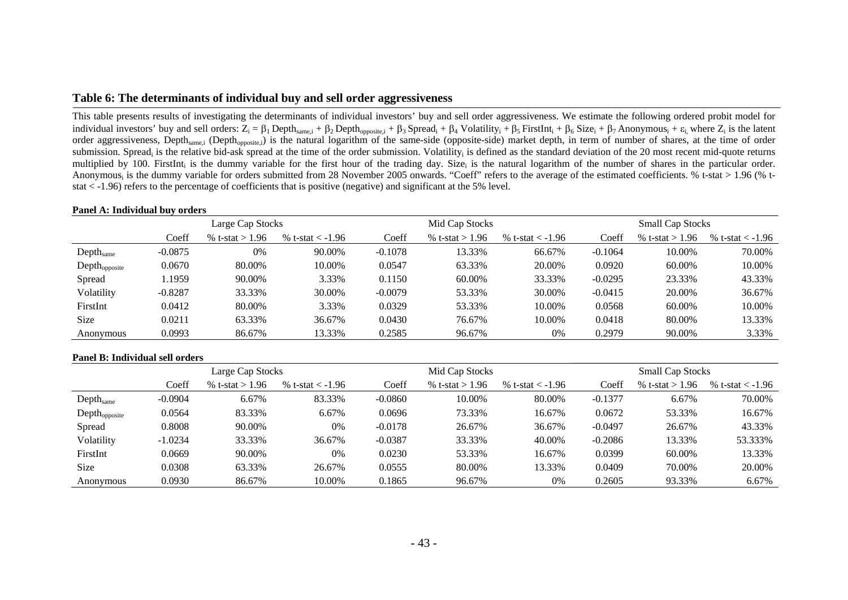## **Table 6: The determinants of individual buy and sell order aggressiveness**

This table presents results of investigating the determinants of individual investors' buy and sell order aggressiveness. We estimate the following ordered probit model for individual investors' buy and sell orders:  $Z_i = \beta_1$  Depth<sub>same,i</sub> +  $\beta_2$  Depth<sub>opposite,i</sub> +  $\beta_3$  Spread<sub>i</sub> +  $\beta_4$  Volatility<sub>i</sub> +  $\beta_5$  FirstInt<sub>i</sub> +  $\beta_6$  Size<sub>i</sub> +  $\beta_7$  Anonymous<sub>i</sub> +  $\epsilon_i$ , where  $Z_i$  is th order aggressiveness, Depth<sub>same,i</sub> (Depth<sub>opposite,i</sub>) is the natural logarithm of the same-side (opposite-side) market depth, in term of number of shares, at the time of order submission. Spread<sub>i</sub> is the relative bid-ask spread at the time of the order submission. Volatility<sub>i</sub> is defined as the standard deviation of the 20 most recent mid-quote returns multiplied by 100. FirstInt, is the dummy variable for the first hour of the trading day. Size, is the natural logarithm of the number of shares in the particular order. Anonymous<sub>i</sub> is the dummy variable for orders submitted from 28 November 2005 onwards. "Coeff" refers to the average of the estimated coefficients. % t-stat > 1.96 (% tstat < -1.96) refers to the percentage of coefficients that is positive (negative) and significant at the 5% level.

#### **Panel A: Individual buy orders**

|                       |           | Large Cap Stocks  |                    |           | Mid Cap Stocks    |                    | <b>Small Cap Stocks</b> |                   |                    |  |
|-----------------------|-----------|-------------------|--------------------|-----------|-------------------|--------------------|-------------------------|-------------------|--------------------|--|
|                       | Coeff     | % t-stat $> 1.96$ | % t-stat $<$ -1.96 | Coeff     | % t-stat $> 1.96$ | % t-stat $<$ -1.96 | Coeff                   | % t-stat $> 1.96$ | % t-stat $<$ -1.96 |  |
| Depth <sub>same</sub> | $-0.0875$ | 0%                | 90.00%             | $-0.1078$ | 13.33%            | 66.67%             | $-0.1064$               | 10.00%            | 70.00%             |  |
| $Depth_{opposite}$    | 0.0670    | 80.00%            | 10.00%             | 0.0547    | 63.33%            | 20.00%             | 0.0920                  | 60.00%            | 10.00%             |  |
| Spread                | 1959.     | 90.00%            | 3.33%              | 0.1150    | 60.00%            | 33.33%             | $-0.0295$               | 23.33%            | 43.33%             |  |
| Volatility            | $-0.8287$ | 33.33%            | 30.00%             | $-0.0079$ | 53.33%            | 30.00%             | $-0.0415$               | 20.00%            | 36.67%             |  |
| FirstInt              | 0.0412    | 80.00%            | 3.33%              | 0.0329    | 53.33%            | 10.00%             | 0.0568                  | 60.00%            | 10.00%             |  |
| Size                  | 0.0211    | 63.33%            | 36.67%             | 0.0430    | 76.67%            | 10.00%             | 0.0418                  | 80.00%            | 13.33%             |  |
| Anonymous             | 0.0993    | 86.67%            | 13.33%             | 0.2585    | 96.67%            | 0%                 | 0.2979                  | 90.00%            | 3.33%              |  |

|                       |           | Large Cap Stocks  |                      |           | Mid Cap Stocks    |                      | <b>Small Cap Stocks</b> |                   |                    |  |
|-----------------------|-----------|-------------------|----------------------|-----------|-------------------|----------------------|-------------------------|-------------------|--------------------|--|
|                       | Coeff     | % t-stat $> 1.96$ | % t-stat $\lt$ -1.96 | Coeff     | % t-stat > $1.96$ | % t-stat $\lt$ -1.96 | Coeff                   | % t-stat $> 1.96$ | % t-stat $<$ -1.96 |  |
| Depth <sub>same</sub> | $-0.0904$ | 6.67%             | 83.33%               | $-0.0860$ | 10.00%            | 80.00%               | $-0.1377$               | 6.67%             | 70.00%             |  |
| $Depth_{opposite}$    | 0.0564    | 83.33%            | 6.67%                | 0.0696    | 73.33%            | 16.67%               | 0.0672                  | 53.33%            | 16.67%             |  |
| Spread                | 0.8008    | 90.00%            | $0\%$                | $-0.0178$ | 26.67%            | 36.67%               | $-0.0497$               | 26.67%            | 43.33%             |  |
| Volatility            | $-1.0234$ | 33.33%            | 36.67%               | $-0.0387$ | 33.33%            | 40.00%               | $-0.2086$               | 13.33%            | 53.333%            |  |
| FirstInt              | 0.0669    | 90.00%            | $0\%$                | 0.0230    | 53.33%            | 16.67%               | 0.0399                  | 60.00%            | 13.33%             |  |
| Size                  | 0.0308    | 63.33%            | 26.67%               | 0.0555    | 80.00%            | 13.33%               | 0.0409                  | 70.00%            | 20.00%             |  |
| Anonymous             | 0.0930    | 86.67%            | 10.00%               | 0.1865    | 96.67%            | 0%                   | 0.2605                  | 93.33%            | 6.67%              |  |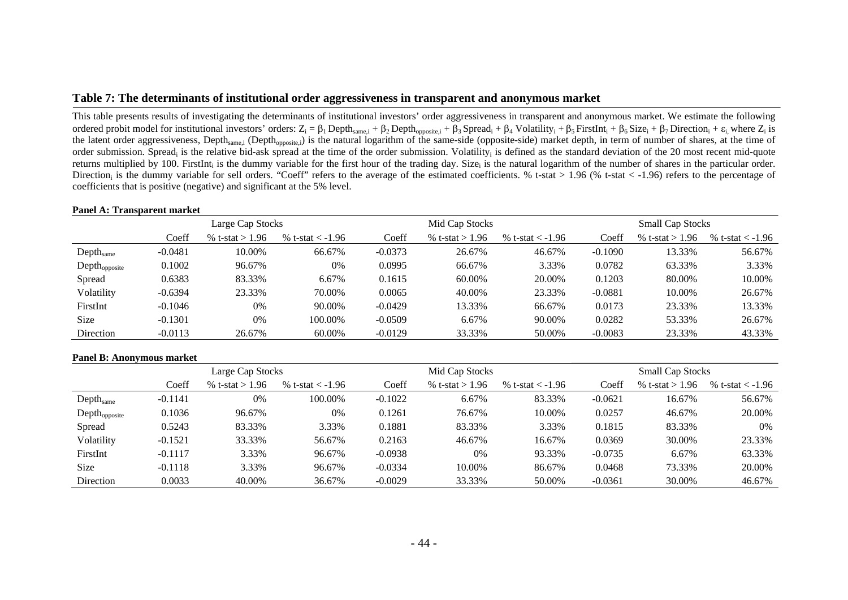## **Table 7: The determinants of institutional order aggressiveness in transparent and anonymous market**

This table presents results of investigating the determinants of institutional investors' order aggressiveness in transparent and anonymous market. We estimate the following ordered probit model for institutional investors' orders:  $Z_i = \beta_1$  Depth<sub>same,i</sub> +  $\beta_2$  Depth<sub>opposite,i</sub> +  $\beta_3$  Spread<sub>i</sub> +  $\beta_4$  Volatility<sub>i</sub> +  $\beta_5$  FirstInt<sub>i</sub> +  $\beta_6$  Size<sub>i</sub> +  $\beta_7$  Direction<sub>i</sub> +  $\epsilon_i$  wh the latent order aggressiveness, Depth<sub>same,i</sub> (Depth<sub>opposite,i</sub>) is the natural logarithm of the same-side (opposite-side) market depth, in term of number of shares, at the time of order submission. Spread<sub>i</sub> is the relative bid-ask spread at the time of the order submission. Volatility<sub>i</sub> is defined as the standard deviation of the 20 most recent mid-quote returns multiplied by 100. FirstInt<sub>i</sub> is the dummy variable for the first hour of the trading day. Size<sub>i</sub> is the natural logarithm of the number of shares in the particular order. Direction<sub>i</sub> is the dummy variable for sell orders. "Coeff" refers to the average of the estimated coefficients. % t-stat > 1.96 (% t-stat < -1.96) refers to the percentage of coefficients that is positive (negative) and significant at the 5% level.

#### **Panel A: Transparent market**

|                       |           | Large Cap Stocks  |                      |           | Mid Cap Stocks    |                    | <b>Small Cap Stocks</b> |                   |                    |  |  |
|-----------------------|-----------|-------------------|----------------------|-----------|-------------------|--------------------|-------------------------|-------------------|--------------------|--|--|
|                       | Coeff     | % t-stat $> 1.96$ | % t-stat $\lt$ -1.96 | Coeff     | % t-stat $> 1.96$ | % t-stat $<$ -1.96 | Coeff                   | % t-stat $> 1.96$ | % t-stat $<$ -1.96 |  |  |
| Depth <sub>same</sub> | $-0.0481$ | 10.00%            | 66.67%               | $-0.0373$ | 26.67%            | 46.67%             | $-0.1090$               | 13.33%            | 56.67%             |  |  |
| $Depth_{opposite}$    | 0.1002    | 96.67%            | 0%                   | 0.0995    | 66.67%            | 3.33%              | 0.0782                  | 63.33%            | 3.33%              |  |  |
| Spread                | 0.6383    | 83.33%            | 6.67%                | 0.1615    | 60.00%            | 20.00%             | 0.1203                  | 80.00%            | 10.00%             |  |  |
| Volatility            | $-0.6394$ | 23.33%            | 70.00%               | 0.0065    | 40.00%            | 23.33%             | $-0.0881$               | 10.00%            | 26.67%             |  |  |
| FirstInt              | $-0.1046$ | 0%                | 90.00%               | $-0.0429$ | 13.33%            | 66.67%             | 0.0173                  | 23.33%            | 13.33%             |  |  |
| <b>Size</b>           | $-0.1301$ | 0%                | 100.00%              | $-0.0509$ | 6.67%             | 90.00%             | 0.0282                  | 53.33%            | 26.67%             |  |  |
| Direction             | $-0.0113$ | 26.67%            | 60.00%               | $-0.0129$ | 33.33%            | 50.00%             | $-0.0083$               | 23.33%            | 43.33%             |  |  |

#### **Panel B: Anonymous market**

|                       |           | Large Cap Stocks  |                      |           | Mid Cap Stocks    |                    | <b>Small Cap Stocks</b> |                   |                    |  |  |
|-----------------------|-----------|-------------------|----------------------|-----------|-------------------|--------------------|-------------------------|-------------------|--------------------|--|--|
|                       | Coeff     | % t-stat $> 1.96$ | % t-stat $\lt$ -1.96 | Coeff     | % t-stat $> 1.96$ | % t-stat $<$ -1.96 | Coeff                   | % t-stat > $1.96$ | % t-stat $<$ -1.96 |  |  |
| Depth <sub>same</sub> | $-0.1141$ | $0\%$             | 100.00%              | $-0.1022$ | 6.67%             | 83.33%             | $-0.0621$               | 16.67%            | 56.67%             |  |  |
| $Depth_{opposite}$    | 0.1036    | 96.67%            | $0\%$                | 0.1261    | 76.67%            | 10.00%             | 0.0257                  | 46.67%            | 20.00%             |  |  |
| Spread                | 0.5243    | 83.33%            | 3.33%                | 0.1881    | 83.33%            | 3.33%              | 0.1815                  | 83.33%            | 0%                 |  |  |
| Volatility            | $-0.1521$ | 33.33%            | 56.67%               | 0.2163    | 46.67%            | 16.67%             | 0.0369                  | 30.00%            | 23.33%             |  |  |
| FirstInt              | $-0.1117$ | 3.33%             | 96.67%               | $-0.0938$ | 0%                | 93.33%             | $-0.0735$               | 6.67%             | 63.33%             |  |  |
| Size                  | $-0.1118$ | 3.33%             | 96.67%               | $-0.0334$ | 10.00%            | 86.67%             | 0.0468                  | 73.33%            | 20.00%             |  |  |
| Direction             | 0.0033    | 40.00%            | 36.67%               | $-0.0029$ | 33.33%            | 50.00%             | $-0.0361$               | 30.00%            | 46.67%             |  |  |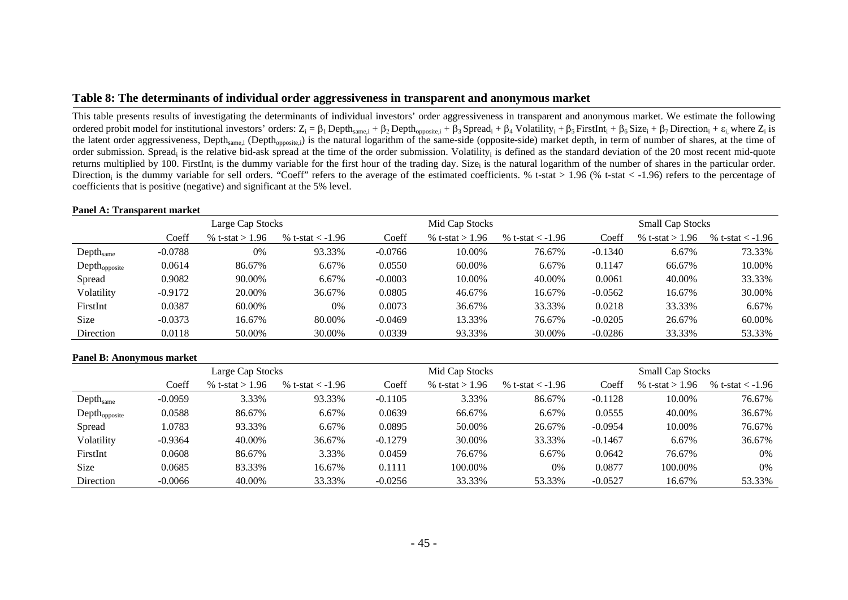## **Table 8: The determinants of individual order aggressiveness in transparent and anonymous market**

This table presents results of investigating the determinants of individual investors' order aggressiveness in transparent and anonymous market. We estimate the following ordered probit model for institutional investors' orders:  $Z_i = \beta_1$  Depth<sub>same, i</sub> +  $\beta_2$  Depth<sub>opposite, i</sub> +  $\beta_3$  Spread<sub>i</sub> +  $\beta_4$  Volatility<sub>i</sub> +  $\beta_5$  FirstInt<sub>i</sub> +  $\beta_6$  Size<sub>i</sub> +  $\beta_7$  Direction<sub>i</sub> +  $\epsilon_i$ , the latent order aggressiveness, Depth<sub>same,i</sub> (Depth<sub>opposite,i</sub>) is the natural logarithm of the same-side (opposite-side) market depth, in term of number of shares, at the time of order submission. Spread<sub>i</sub> is the relative bid-ask spread at the time of the order submission. Volatility<sub>i</sub> is defined as the standard deviation of the 20 most recent mid-quote returns multiplied by 100. FirstInt<sub>i</sub> is the dummy variable for the first hour of the trading day. Size<sub>i</sub> is the natural logarithm of the number of shares in the particular order. Direction<sub>i</sub> is the dummy variable for sell orders. "Coeff" refers to the average of the estimated coefficients. % t-stat > 1.96 (% t-stat < -1.96) refers to the percentage of coefficients that is positive (negative) and significant at the 5% level.

#### **Panel A: Transparent market**

|                       |           | Large Cap Stocks  |                      |           | Mid Cap Stocks    |                    | <b>Small Cap Stocks</b> |                   |                    |  |  |
|-----------------------|-----------|-------------------|----------------------|-----------|-------------------|--------------------|-------------------------|-------------------|--------------------|--|--|
|                       | Coeff     | % t-stat $> 1.96$ | % t-stat $\lt$ -1.96 | Coeff     | % t-stat $> 1.96$ | % t-stat $<$ -1.96 | Coeff                   | % t-stat $> 1.96$ | % t-stat $<$ -1.96 |  |  |
| Depth <sub>same</sub> | $-0.0788$ | 0%                | 93.33%               | $-0.0766$ | 10.00%            | 76.67%             | $-0.1340$               | 6.67%             | 73.33%             |  |  |
| $Depth_{opposite}$    | 0.0614    | 86.67%            | 6.67%                | 0.0550    | 60.00%            | 6.67%              | 0.1147                  | 66.67%            | 10.00%             |  |  |
| Spread                | 0.9082    | 90.00%            | 6.67%                | $-0.0003$ | 10.00%            | 40.00%             | 0.0061                  | 40.00%            | 33.33%             |  |  |
| Volatility            | $-0.9172$ | 20.00%            | 36.67%               | 0.0805    | 46.67%            | 16.67%             | $-0.0562$               | 16.67%            | 30.00%             |  |  |
| FirstInt              | 0.0387    | 60.00%            | $0\%$                | 0.0073    | 36.67%            | 33.33%             | 0.0218                  | 33.33%            | 6.67%              |  |  |
| <b>Size</b>           | $-0.0373$ | 16.67%            | 80.00%               | $-0.0469$ | 13.33%            | 76.67%             | $-0.0205$               | 26.67%            | 60.00%             |  |  |
| Direction             | 0.0118    | 50.00%            | 30.00%               | 0.0339    | 93.33%            | 30.00%             | $-0.0286$               | 33.33%            | 53.33%             |  |  |

#### **Panel B: Anonymous market**

|                       |           | Large Cap Stocks  |                      |           | Mid Cap Stocks    |                    | <b>Small Cap Stocks</b> |                   |                      |  |  |
|-----------------------|-----------|-------------------|----------------------|-----------|-------------------|--------------------|-------------------------|-------------------|----------------------|--|--|
|                       | Coeff     | % t-stat $> 1.96$ | % t-stat $\lt$ -1.96 | Coeff     | % t-stat $> 1.96$ | % t-stat $<$ -1.96 | Coeff                   | % t-stat $> 1.96$ | % t-stat $\lt$ -1.96 |  |  |
| Depth <sub>same</sub> | $-0.0959$ | 3.33%             | 93.33%               | $-0.1105$ | 3.33%             | 86.67%             | $-0.1128$               | 10.00%            | 76.67%               |  |  |
| $Depth_{opposite}$    | 0.0588    | 86.67%            | 6.67%                | 0.0639    | 66.67%            | 6.67%              | 0.0555                  | 40.00%            | 36.67%               |  |  |
| Spread                | 1.0783    | 93.33%            | 6.67%                | 0.0895    | 50.00%            | 26.67%             | $-0.0954$               | 10.00%            | 76.67%               |  |  |
| Volatility            | $-0.9364$ | 40.00%            | 36.67%               | $-0.1279$ | 30.00%            | 33.33%             | $-0.1467$               | 6.67%             | 36.67%               |  |  |
| FirstInt              | 0.0608    | 86.67%            | 3.33%                | 0.0459    | 76.67%            | 6.67%              | 0.0642                  | 76.67%            | 0%                   |  |  |
| <b>Size</b>           | 0.0685    | 83.33%            | 16.67%               | 0.1111    | 100.00%           | 0%                 | 0.0877                  | 100.00%           | 0%                   |  |  |
| Direction             | $-0.0066$ | 40.00%            | 33.33%               | $-0.0256$ | 33.33%            | 53.33%             | $-0.0527$               | 16.67%            | 53.33%               |  |  |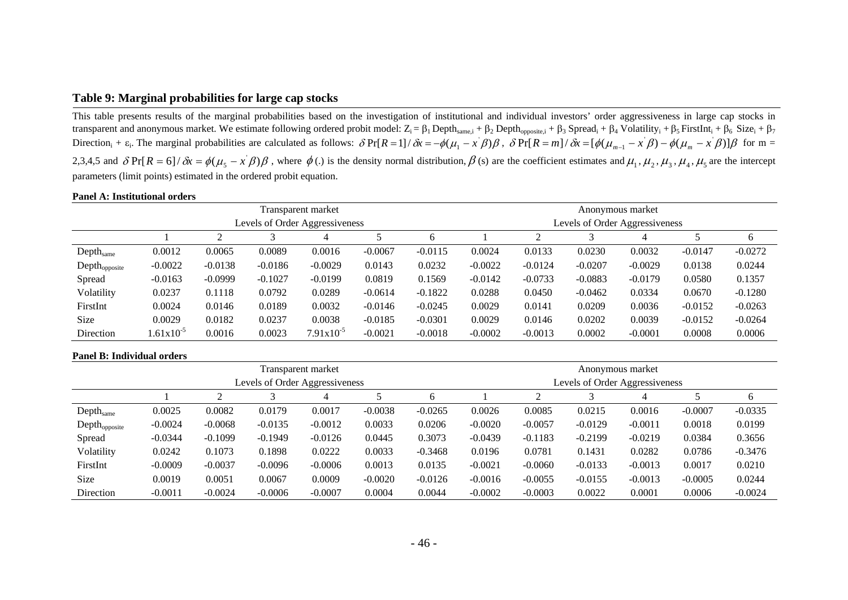## **Table 9: Marginal probabilities for large cap stocks**

This table presents results of the marginal probabilities based on the investigation of institutional and individual investors' order aggressiveness in large cap stocks in transparent and anonymous market. We estimate following ordered probit model:  $Z_i = \beta_1$  Depth<sub>same,i</sub> +  $\beta_2$  Depth<sub>opposite,i</sub> +  $\beta_3$  Spread<sub>i</sub> +  $\beta_4$  Volatility<sub>i</sub> +  $\beta_5$  FirstInt<sub>i</sub> +  $\beta_6$  Size<sub>i</sub> +  $\beta_7$ Direction<sub>i</sub> +  $\varepsilon_i$ . The marginal probabilities are calculated as follows:  $\delta Pr[R=1]/\delta x = -\phi(\mu_1 - x^{\prime}\beta)\beta$ ,  $\delta Pr[R=m]/\delta x = [\phi(\mu_{m-1} - x^{\prime}\beta) - \phi(\mu_m - x^{\prime}\beta)]\beta$  for m = 2,3,4,5 and  $\delta Pr[R = 6]/\delta x = \phi(\mu_s - x^2)\beta$ , where  $\phi(.)$  is the density normal distribution,  $\beta(s)$  are the coefficient estimates and  $\mu_1, \mu_2, \mu_3, \mu_4, \mu_5$  are the intercept parameters (limit points) estimated in the ordered probit equation.

#### **Panel A: Institutional orders**

|                           |                |           |           | Transparent market             |           |           | Anonymous market |           |           |                                |           |           |  |
|---------------------------|----------------|-----------|-----------|--------------------------------|-----------|-----------|------------------|-----------|-----------|--------------------------------|-----------|-----------|--|
|                           |                |           |           | Levels of Order Aggressiveness |           |           |                  |           |           | Levels of Order Aggressiveness |           |           |  |
|                           |                | ◠         |           | 4                              |           | b         |                  |           |           |                                |           | 6         |  |
| Depth <sub>same</sub>     | 0.0012         | 0.0065    | 0.0089    | 0.0016                         | $-0.0067$ | $-0.0115$ | 0.0024           | 0.0133    | 0.0230    | 0.0032                         | $-0.0147$ | $-0.0272$ |  |
| $Depth_{\text{opposite}}$ | $-0.0022$      | $-0.0138$ | $-0.0186$ | $-0.0029$                      | 0.0143    | 0.0232    | $-0.0022$        | $-0.0124$ | $-0.0207$ | $-0.0029$                      | 0.0138    | 0.0244    |  |
| Spread                    | $-0.0163$      | $-0.0999$ | $-0.1027$ | $-0.0199$                      | 0.0819    | 0.1569    | $-0.0142$        | $-0.0733$ | $-0.0883$ | $-0.0179$                      | 0.0580    | 0.1357    |  |
| Volatility                | 0.0237         | 0.1118    | 0.0792    | 0.0289                         | $-0.0614$ | $-0.1822$ | 0.0288           | 0.0450    | $-0.0462$ | 0.0334                         | 0.0670    | $-0.1280$ |  |
| FirstInt                  | 0.0024         | 0.0146    | 0.0189    | 0.0032                         | $-0.0146$ | $-0.0245$ | 0.0029           | 0.0141    | 0.0209    | 0.0036                         | $-0.0152$ | $-0.0263$ |  |
| Size                      | 0.0029         | 0.0182    | 0.0237    | 0.0038                         | $-0.0185$ | $-0.0301$ | 0.0029           | 0.0146    | 0.0202    | 0.0039                         | $-0.0152$ | $-0.0264$ |  |
| Direction                 | $1.61x10^{-5}$ | 0.0016    | 0.0023    | $7.91x10^{-5}$                 | $-0.0021$ | $-0.0018$ | $-0.0002$        | $-0.0013$ | 0.0002    | $-0.0001$                      | 0.0008    | 0.0006    |  |

|                           |           |           |           | Transparent market             |           |           | Anonymous market               |           |           |           |           |           |  |  |
|---------------------------|-----------|-----------|-----------|--------------------------------|-----------|-----------|--------------------------------|-----------|-----------|-----------|-----------|-----------|--|--|
|                           |           |           |           | Levels of Order Aggressiveness |           |           | Levels of Order Aggressiveness |           |           |           |           |           |  |  |
|                           |           |           |           |                                |           |           |                                |           |           | 4         |           | 6         |  |  |
| Depthsame                 | 0.0025    | 0.0082    | 0.0179    | 0.0017                         | $-0.0038$ | $-0.0265$ | 0.0026                         | 0.0085    | 0.0215    | 0.0016    | $-0.0007$ | $-0.0335$ |  |  |
| Depth <sub>opposite</sub> | $-0.0024$ | $-0.0068$ | $-0.0135$ | $-0.0012$                      | 0.0033    | 0.0206    | $-0.0020$                      | $-0.0057$ | $-0.0129$ | $-0.0011$ | 0.0018    | 0.0199    |  |  |
| Spread                    | $-0.0344$ | $-0.1099$ | $-0.1949$ | $-0.0126$                      | 0.0445    | 0.3073    | $-0.0439$                      | $-0.1183$ | $-0.2199$ | $-0.0219$ | 0.0384    | 0.3656    |  |  |
| Volatility                | 0.0242    | 0.1073    | 0.1898    | 0.0222                         | 0.0033    | $-0.3468$ | 0.0196                         | 0.0781    | 0.1431    | 0.0282    | 0.0786    | $-0.3476$ |  |  |
| FirstInt                  | $-0.0009$ | $-0.0037$ | $-0.0096$ | $-0.0006$                      | 0.0013    | 0.0135    | $-0.0021$                      | $-0.0060$ | $-0.0133$ | $-0.0013$ | 0.0017    | 0.0210    |  |  |
| <b>Size</b>               | 0.0019    | 0.0051    | 0.0067    | 0.0009                         | $-0.0020$ | $-0.0126$ | $-0.0016$                      | $-0.0055$ | $-0.0155$ | $-0.0013$ | $-0.0005$ | 0.0244    |  |  |
| Direction                 | $-0.0011$ | $-0.0024$ | $-0.0006$ | $-0.0007$                      | 0.0004    | 0.0044    | $-0.0002$                      | $-0.0003$ | 0.0022    | 0.0001    | 0.0006    | $-0.0024$ |  |  |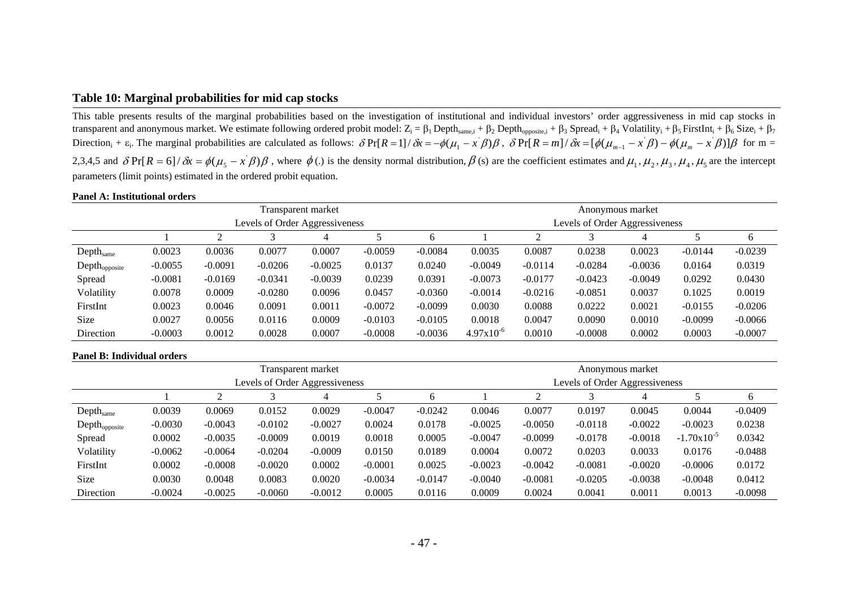## **Table 10: Marginal probabilities for mid cap stocks**

This table presents results of the marginal probabilities based on the investigation of institutional and individual investors' order aggressiveness in mid cap stocks in transparent and anonymous market. We estimate following ordered probit model:  $Z_i = \beta_1$  Depth<sub>same,i</sub> +  $\beta_2$  Depth<sub>opposite,i</sub> +  $\beta_3$  Spread<sub>i</sub> +  $\beta_4$  Volatility<sub>i</sub> +  $\beta_5$  FirstInt<sub>i</sub> +  $\beta_6$  Size<sub>i</sub> +  $\beta_7$ Direction<sub>i</sub> +  $\varepsilon_i$ . The marginal probabilities are calculated as follows:  $\delta Pr[R=1]/\delta x = -\phi(\mu_1 - x^{\prime}\beta)\beta$ ,  $\delta Pr[R=m]/\delta x = [\phi(\mu_{m-1} - x^{\prime}\beta) - \phi(\mu_m - x^{\prime}\beta)]\beta$  for m = 2,3,4,5 and  $\delta Pr[R = 6]/\delta x = \phi(\mu_s - x^2)\beta$ , where  $\phi(.)$  is the density normal distribution,  $\beta(s)$  are the coefficient estimates and  $\mu_1, \mu_2, \mu_3, \mu_4, \mu_5$  are the intercept parameters (limit points) estimated in the ordered probit equation.

#### **Panel A: Institutional orders**

|                           |           |           |           | Transparent market             |           |           | Anonymous market |           |           |                                |           |           |  |
|---------------------------|-----------|-----------|-----------|--------------------------------|-----------|-----------|------------------|-----------|-----------|--------------------------------|-----------|-----------|--|
|                           |           |           |           | Levels of Order Aggressiveness |           |           |                  |           |           | Levels of Order Aggressiveness |           |           |  |
|                           |           | ◠         |           | 4                              |           | b         |                  |           |           |                                |           | 6         |  |
| Depth <sub>same</sub>     | 0.0023    | 0.0036    | 0.0077    | 0.0007                         | $-0.0059$ | $-0.0084$ | 0.0035           | 0.0087    | 0.0238    | 0.0023                         | $-0.0144$ | $-0.0239$ |  |
| Depth <sub>opposite</sub> | $-0.0055$ | $-0.0091$ | $-0.0206$ | $-0.0025$                      | 0.0137    | 0.0240    | $-0.0049$        | $-0.0114$ | $-0.0284$ | $-0.0036$                      | 0.0164    | 0.0319    |  |
| Spread                    | $-0.0081$ | $-0.0169$ | $-0.0341$ | $-0.0039$                      | 0.0239    | 0.0391    | $-0.0073$        | $-0.0177$ | $-0.0423$ | $-0.0049$                      | 0.0292    | 0.0430    |  |
| Volatility                | 0.0078    | 0.0009    | $-0.0280$ | 0.0096                         | 0.0457    | $-0.0360$ | $-0.0014$        | $-0.0216$ | $-0.0851$ | 0.0037                         | 0.1025    | 0.0019    |  |
| FirstInt                  | 0.0023    | 0.0046    | 0.0091    | 0.0011                         | $-0.0072$ | $-0.0099$ | 0.0030           | 0.0088    | 0.0222    | 0.0021                         | $-0.0155$ | $-0.0206$ |  |
| Size                      | 0.0027    | 0.0056    | 0.0116    | 0.0009                         | $-0.0103$ | $-0.0105$ | 0.0018           | 0.0047    | 0.0090    | 0.0010                         | $-0.0099$ | $-0.0066$ |  |
| Direction                 | $-0.0003$ | 0.0012    | 0.0028    | 0.0007                         | $-0.0008$ | $-0.0036$ | $4.97x10^{-6}$   | 0.0010    | $-0.0008$ | 0.0002                         | 0.0003    | $-0.0007$ |  |

|                           |           |           |                                | Transparent market |           |           | Anonymous market |           |                                |           |                 |           |  |
|---------------------------|-----------|-----------|--------------------------------|--------------------|-----------|-----------|------------------|-----------|--------------------------------|-----------|-----------------|-----------|--|
|                           |           |           | Levels of Order Aggressiveness |                    |           |           |                  |           | Levels of Order Aggressiveness |           |                 |           |  |
|                           |           |           |                                |                    | 6         |           |                  |           |                                |           | b               |           |  |
| Depthsame                 | 0.0039    | 0.0069    | 0.0152                         | 0.0029             | $-0.0047$ | $-0.0242$ | 0.0046           | 0.0077    | 0.0197                         | 0.0045    | 0.0044          | $-0.0409$ |  |
| Depth <sub>opposite</sub> | $-0.0030$ | $-0.0043$ | $-0.0102$                      | $-0.0027$          | 0.0024    | 0.0178    | $-0.0025$        | $-0.0050$ | $-0.0118$                      | $-0.0022$ | $-0.0023$       | 0.0238    |  |
| Spread                    | 0.0002    | $-0.0035$ | $-0.0009$                      | 0.0019             | 0.0018    | 0.0005    | $-0.0047$        | $-0.0099$ | $-0.0178$                      | $-0.0018$ | $-1.70x10^{-5}$ | 0.0342    |  |
| Volatility                | $-0.0062$ | $-0.0064$ | $-0.0204$                      | $-0.0009$          | 0.0150    | 0.0189    | 0.0004           | 0.0072    | 0.0203                         | 0.0033    | 0.0176          | $-0.0488$ |  |
| FirstInt                  | 0.0002    | $-0.0008$ | $-0.0020$                      | 0.0002             | $-0.0001$ | 0.0025    | $-0.0023$        | $-0.0042$ | $-0.0081$                      | $-0.0020$ | $-0.0006$       | 0.0172    |  |
| <b>Size</b>               | 0.0030    | 0.0048    | 0.0083                         | 0.0020             | $-0.0034$ | $-0.0147$ | $-0.0040$        | $-0.0081$ | $-0.0205$                      | $-0.0038$ | $-0.0048$       | 0.0412    |  |
| Direction                 | $-0.0024$ | $-0.0025$ | $-0.0060$                      | $-0.0012$          | 0.0005    | 0.0116    | 0.0009           | 0.0024    | 0.0041                         | 0.0011    | 0.0013          | $-0.0098$ |  |